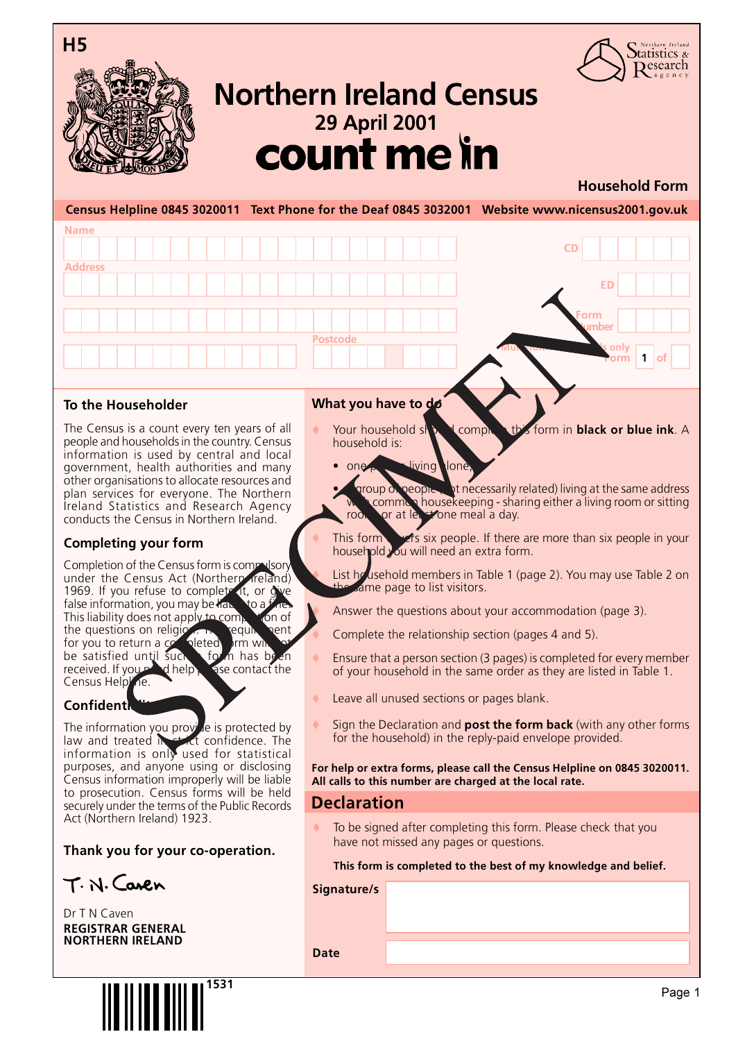

**Name**

**Address**



## <sup>29 April 2001</sup><br>**COUNT Me in Northern Ireland Census**

#### **Household Form**

Northern Ireland Statistics &  $\mathcal{D}$ esearch

**Form 1 of**

**ED**

**Form Number**

**CD**

**Multi-form households only** 

**Census Helpline 0845 3020011 Text Phone for the Deaf 0845 3032001 Website www.nicensus2001.gov.uk**

#### **To the Householder**

The Census is a count every ten years of all people and households in the country. Census information is used by central and local government, health authorities and many other organisations to allocate resources and plan services for everyone. The Northern Ireland Statistics and Research Agency conducts the Census in Northern Ireland.

#### **Completing your form**

Completion of the Census form is compulsor under the Census Act (Northern Ireland) 1969. If you refuse to complete it, or give false information, you may be has seen to a fine.<br>This liability does not apply to come to no of This liability does not apply to comp the questions on religion. The requirement for you to return a contribution of for you to return a completed  $\frac{1}{2}$  for  $\frac{1}{2}$  has been be satisfied until such a form has been<br>received If your adhelp. Size contact the received. If you n Census Helpline.

#### **Confident**

The information you provide is protected by law and treated in  $\epsilon$  is confidence. The information is onl $\bar y$  used for statistical purposes, and anyone using or disclosing Census information improperly will be liable to prosecution. Census forms will be held securely under the terms of the Public Records Act (Northern Ireland) 1923.

#### **Thank you for your co-operation.**

 $T. N.$  Caren

Dr T N Caven **REGISTRAR GENERAL NORTHERN IRELAND**

# **1531**

#### **What you have to do**

**Postcode**

one person living lone

- Your household ship **N** complete this form in **black or blue ink**. A household is:
- aroup of people (interessarily related) living at the same address common housekeeping - sharing either a living room or sitting roof or at least one meal a day.
	- This form  $\epsilon$  is six people. If there are more than six people in your household you will need an extra form.
- List household members in Table 1 (page 2). You may use Table 2 on ame page to list visitors.
- Answer the questions about your accommodation (page 3).
- Complete the relationship section (pages 4 and 5).
- Ensure that a person section (3 pages) is completed for every member of your household in the same order as they are listed in Table 1.
- Leave all unused sections or pages blank.
- Sign the Declaration and **post the form back** (with any other forms for the household) in the reply-paid envelope provided.

**For help or extra forms, please call the Census Helpline on 0845 3020011. All calls to this number are charged at the local rate.**

#### **Declaration**

To be signed after completing this form. Please check that you have not missed any pages or questions.

#### **This form is completed to the best of my knowledge and belief.**

**Signature/s**

**Date**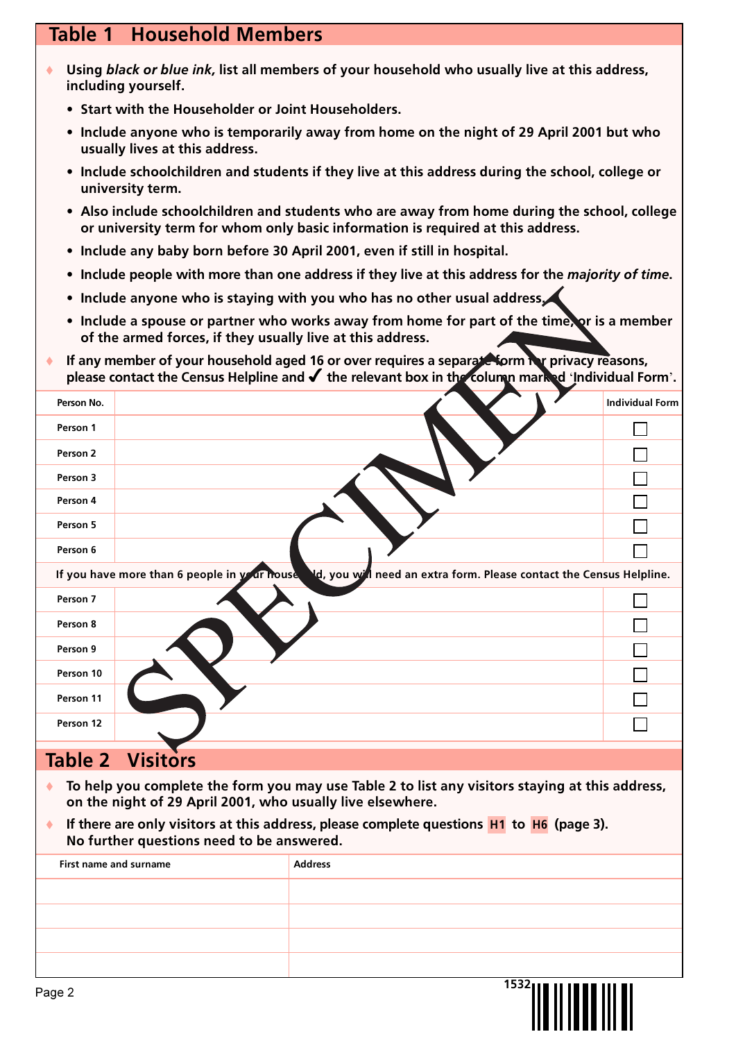## **Table 1 Household Members**

- t **Using** *black or blue ink,* **list all members of your household who usually live at this address, including yourself.**
	- **Start with the Householder or Joint Householders.**
	- **Include anyone who is temporarily away from home on the night of 29 April 2001 but who usually lives at this address.**
	- **Include schoolchildren and students if they live at this address during the school, college or university term.**
	- **Also include schoolchildren and students who are away from home during the school, college or university term for whom only basic information is required at this address.**
	- **Include any baby born before 30 April 2001, even if still in hospital.**
	- **Include people with more than one address if they live at this address for the** *majority of time***.**
	- **Include anyone who is staying with you who has no other usual address.**
	- **Include a spouse or partner who works away from home for part of the time, or is a member of the armed forces, if they usually live at this address.**
- If any member of your household aged 16 or over requires a separate form **or** privacy reasons, **please contact the Census Helpline and** 4 **the relevant box in the column marked Individual Form.**

| Person No. |                                                                                                                      | <b>Individual Form</b> |
|------------|----------------------------------------------------------------------------------------------------------------------|------------------------|
| Person 1   |                                                                                                                      |                        |
| Person 2   |                                                                                                                      |                        |
| Person 3   |                                                                                                                      |                        |
| Person 4   |                                                                                                                      |                        |
| Person 5   |                                                                                                                      |                        |
| Person 6   |                                                                                                                      |                        |
|            | Nd, you will need an extra form. Please contact the Census Helpline.<br>If you have more than 6 people in your house |                        |
| Person 7   |                                                                                                                      |                        |
| Person 8   |                                                                                                                      |                        |
| Person 9   |                                                                                                                      |                        |
| Person 10  |                                                                                                                      |                        |
| Person 11  |                                                                                                                      |                        |
| Person 12  |                                                                                                                      |                        |
|            | <b>Table 2 Visitors</b>                                                                                              |                        |

To help you complete the form you may use Table 2 to list any visitors staying at this address, **on the night of 29 April 2001, who usually live elsewhere.**

t **If there are only visitors at this address, please complete questions H1 to H6 (page 3). No further questions need to be answered.**

| First name and surname | <b>Address</b> |
|------------------------|----------------|
|                        |                |
|                        |                |
|                        |                |
|                        |                |
| Page 2                 | $^{1532}$      |

<u>HAH INDI III II</u>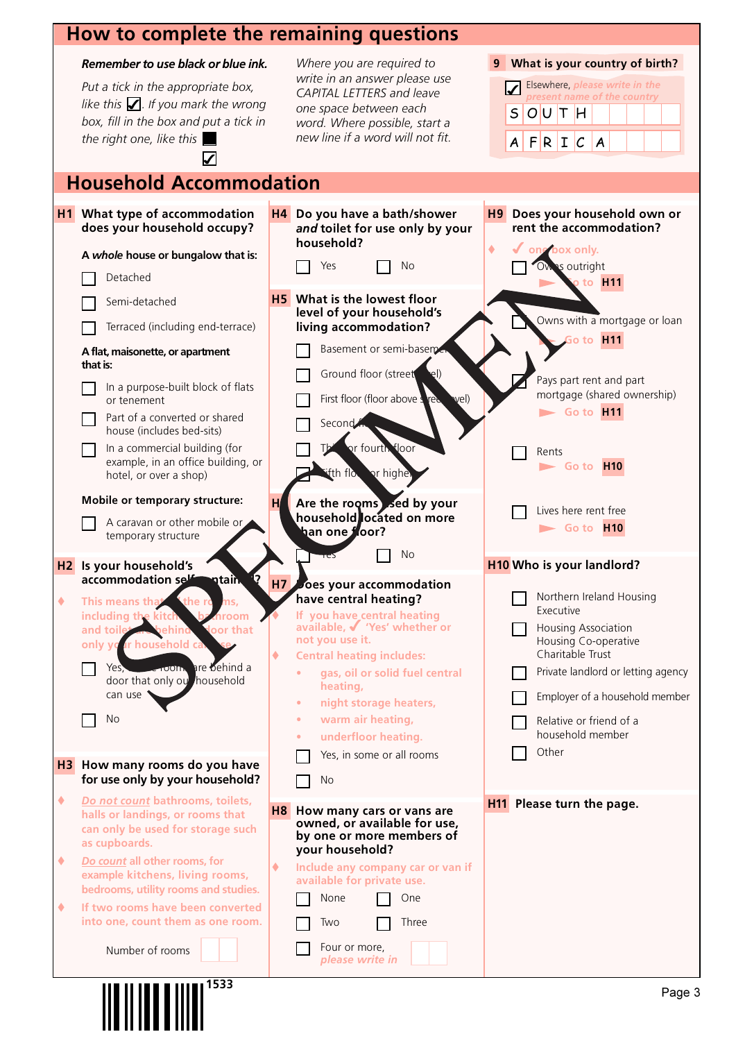### **How to complete the remaining**

#### *Remember to use black or blue ink.*

*Put a tick in the appropriate box,* like this  $\Box$  If you mark the wrong *box, fill in the box and put a tick in the right one, like this*

**H1 What type of accommodation does your household occupy?**

**Household Accommodation**

 $\overline{\mathbf{V}}$ 

|           | remaining questions                                                                                                                                                                                                                                                                                                                |                                                                                                                                                                                                                                          |
|-----------|------------------------------------------------------------------------------------------------------------------------------------------------------------------------------------------------------------------------------------------------------------------------------------------------------------------------------------|------------------------------------------------------------------------------------------------------------------------------------------------------------------------------------------------------------------------------------------|
|           | Where you are required to<br>write in an answer please use<br><b>CAPITAL LETTERS and leave</b><br>one space between each<br>word. Where possible, start a<br>new line if a word will not fit.                                                                                                                                      | What is your country of birth?<br>9<br>Elsewhere, please write in the<br>present name of the country<br>S<br>OUT <sub>H</sub><br>$F$ RI $C$<br>A<br>A                                                                                    |
|           | lation                                                                                                                                                                                                                                                                                                                             |                                                                                                                                                                                                                                          |
| H4        | Do you have a bath/shower<br>and toilet for use only by your<br>household?<br>Yes<br>No                                                                                                                                                                                                                                            | H9<br>Does your household own or<br>rent the accommodation?<br>٠<br>one box only.<br>Ow's outright<br>o to $H11$                                                                                                                         |
| H         | <b>H5</b> What is the lowest floor<br>level of your household's<br>living accommodation?<br>Basement or semi-basemen<br>Ground floor (street<br>$e$ l)<br>wel)<br>First floor (floor above s<br><b>re</b><br>Second<br>or fourth floor<br>Tb<br>"fth flow or higher<br>Are the rooms sed by your<br>household located on more      | Owns with a mortgage or loan<br>Go to H11<br>Pays part rent and part<br>mortgage (shared ownership)<br>$\blacktriangleright$ Go to $H11$<br>Rents<br>$\blacktriangleright$ Go to $\blacktriangleright$ H10<br>Lives here rent free       |
|           | han one floor?                                                                                                                                                                                                                                                                                                                     | $\blacktriangleright$ Go to $\blacktriangleright$ 110                                                                                                                                                                                    |
|           | No                                                                                                                                                                                                                                                                                                                                 | <b>H10 Who is your landlord?</b>                                                                                                                                                                                                         |
| H7        | oes your accommodation<br>have central heating?<br>If you have_central heating<br>available, √ 'Yes' whether or<br>not you use it.<br><b>Central heating includes:</b><br>gas, oil or solid fuel central<br>heating,<br>night storage heaters,<br>warm air heating,<br>۰<br>underfloor heating.<br>Yes, in some or all rooms<br>No | Northern Ireland Housing<br>Executive<br>Housing Association<br>Housing Co-operative<br>Charitable Trust<br>Private landlord or letting agency<br>Employer of a household member<br>Relative or friend of a<br>household member<br>Other |
| <b>H8</b> | How many cars or vans are<br>owned, or available for use,<br>by one or more members of<br>your household?<br>Include any company car or van if<br>available for private use.<br>None<br>One                                                                                                                                        | H11 Please turn the page.                                                                                                                                                                                                                |

**A** *whole* **house or bungalow that is:** Detached Semi-detached Terraced (including end-terrace) **A flat, maisonette, or apartment that is:** In a purpose-built block of flats or tenement Part of a converted or shared house (includes bed-sits) In a commercial building (for example, in an office building, or hotel, or over a shop) **Mobile or temporary structure:** A caravan or other mobile or temporary structure **H2** Is your household's **accommodation self-contain** ◆ This means that **including the kitch bathroom and toilet are behind a door that only your house**  $Yes$ , and  $\overline{S}$  are behind a door that only our household can use No **H3 How many rooms do you have for use only by your household?** ◆ *Do not count* bathrooms, toilets, **halls or landings, or rooms that can only be used for storage such as cupboards.** ◆ *Do count* all other rooms, for **example kitchens, living rooms, bedrooms, utility rooms and studies.** ◆ If two rooms have been converted **into one, count them as one room.** Number of rooms **household?** Yes **H5** What is the level of yo **living acco** Baseme Ground First flo Second This or fourth floor **Fifth floor or higher Are the ro** household **than one floor?**  $T$ es  $N$ o **H7** Does your have cent **If you have available,**  $\bullet$ **not you use Central hea gas, oil or solid fuel central heating, night** s warm **under** Yes, in No **H8** How many owned, or by one or **your hous Include any available for** None Two **Three** Four or more, *please write in*

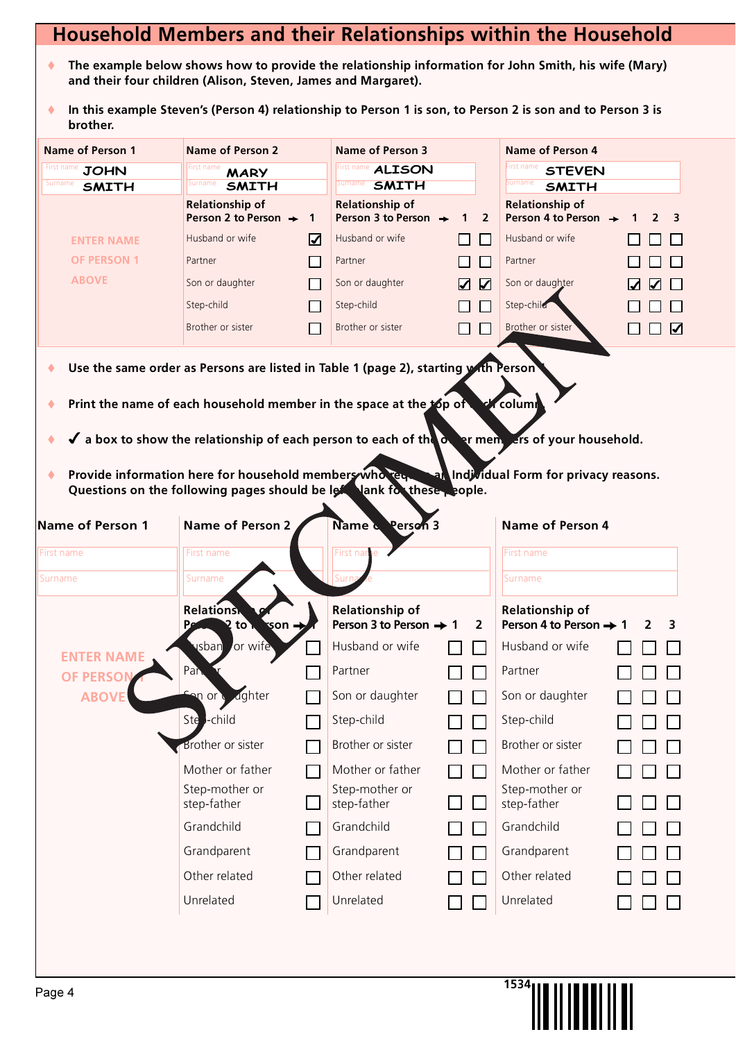## **Household Members and their Relationships within the Household**

- ◆ The example below shows how to provide the relationship information for John Smith, his wife (Mary) **and their four children (Alison, Steven, James and Margaret).**
- ♦ In this example Steven's (Person 4) relationship to Person 1 is son, to Person 2 is son and to Person 3 is **brother.**

| <b>Name of Person 1</b> | <b>Name of Person 2</b>                                                                                              |                       | <b>Name of Person 3</b>                                    |                     | <b>Name of Person 4</b>                                    |                |
|-------------------------|----------------------------------------------------------------------------------------------------------------------|-----------------------|------------------------------------------------------------|---------------------|------------------------------------------------------------|----------------|
| <b>JOHN</b>             | First name<br><b>MARY</b>                                                                                            |                       | <b>First name ALISON</b>                                   |                     | First name<br><b>STEVEN</b>                                |                |
| urname<br><b>SMITH</b>  | Surname<br><b>SMITH</b>                                                                                              |                       | <b>SMITH</b><br>Surname                                    |                     | Surname<br><b>SMITH</b>                                    |                |
|                         | <b>Relationship of</b><br>Person 2 to Person $\rightarrow$                                                           | $\mathbf{1}$          | <b>Relationship of</b><br>Person 3 to Person $\rightarrow$ | $\overline{2}$<br>1 | <b>Relationship of</b><br>Person 4 to Person $\rightarrow$ |                |
| <b>ENTER NAME</b>       | Husband or wife                                                                                                      | $\boldsymbol{\nabla}$ | Husband or wife                                            |                     | Husband or wife                                            |                |
| <b>OF PERSON 1</b>      | Partner                                                                                                              | П                     | Partner                                                    |                     | Partner                                                    |                |
| <b>ABOVE</b>            | Son or daughter                                                                                                      | $\Box$                | Son or daughter                                            | ☑<br>☑              | Son or daughter                                            |                |
|                         | Step-child                                                                                                           | $\mathbf{I}$          | Step-child                                                 |                     | Step-child                                                 |                |
|                         | Brother or sister                                                                                                    | $\Box$                | Brother or sister                                          |                     | Brother or sister                                          | $\blacksquare$ |
|                         |                                                                                                                      |                       |                                                            |                     |                                                            |                |
|                         | Use the same order as Persons are listed in Table 1 (page 2), starting with Person                                   |                       |                                                            |                     |                                                            |                |
|                         | Print the name of each household member in the space at the top of                                                   |                       |                                                            |                     | <b>ch</b> columi                                           |                |
|                         |                                                                                                                      |                       |                                                            |                     |                                                            |                |
|                         | $\checkmark$ a box to show the relationship of each person to each of the $\checkmark$ or mempers of your household. |                       |                                                            |                     |                                                            |                |
|                         | Provide information here for household members who require                                                           |                       |                                                            |                     | an Individual Form for privacy reasons.                    |                |
|                         | Questions on the following pages should be left lank for these, cople.                                               |                       |                                                            |                     |                                                            |                |
| Name of Person 1        | <b>Name of Person 2</b>                                                                                              |                       | Name & Person 3                                            |                     | <b>Name of Person 4</b>                                    |                |
| First name              | First name                                                                                                           |                       | First na                                                   |                     | First name                                                 |                |
| Surname                 | Surname                                                                                                              |                       |                                                            |                     | Surname                                                    |                |
|                         | <b>Relations</b>                                                                                                     |                       | <b>Relationship of</b>                                     |                     | <b>Relationship of</b>                                     |                |
|                         | 2 to 1<br>son =                                                                                                      |                       | Person 3 to Person $\rightarrow 1$                         | $\overline{2}$      | Person 4 to Person $\rightarrow$ 1                         | 2<br>3         |
| <b>ENTER NAME</b>       | <b>sban</b><br>or wife                                                                                               |                       | Husband or wife                                            |                     | Husband or wife                                            |                |
| <b>OF PERSON</b>        | Pan                                                                                                                  |                       | Partner                                                    |                     | Partner                                                    |                |
| <b>ABOVE</b>            | an or dughter                                                                                                        |                       | Son or daughter                                            |                     | Son or daughter                                            |                |
|                         | Ste - child                                                                                                          |                       | Step-child                                                 |                     | Step-child                                                 |                |
|                         | <b>Brother or sister</b>                                                                                             |                       | Brother or sister                                          |                     | Brother or sister                                          |                |
|                         | Mother or father                                                                                                     |                       | Mother or father                                           | $\sim$              | Mother or father                                           |                |
|                         | Step-mother or                                                                                                       |                       | Step-mother or                                             |                     | Step-mother or                                             |                |
|                         | step-father                                                                                                          |                       | step-father                                                |                     | step-father                                                |                |
|                         | Grandchild                                                                                                           |                       | Grandchild                                                 |                     | Grandchild                                                 |                |
|                         | Grandparent                                                                                                          |                       | Grandparent                                                |                     | Grandparent                                                |                |
|                         |                                                                                                                      |                       |                                                            |                     |                                                            |                |
|                         | Other related                                                                                                        |                       | Other related                                              |                     | Other related                                              |                |
|                         | Unrelated                                                                                                            |                       | Unrelated                                                  |                     | Unrelated                                                  |                |

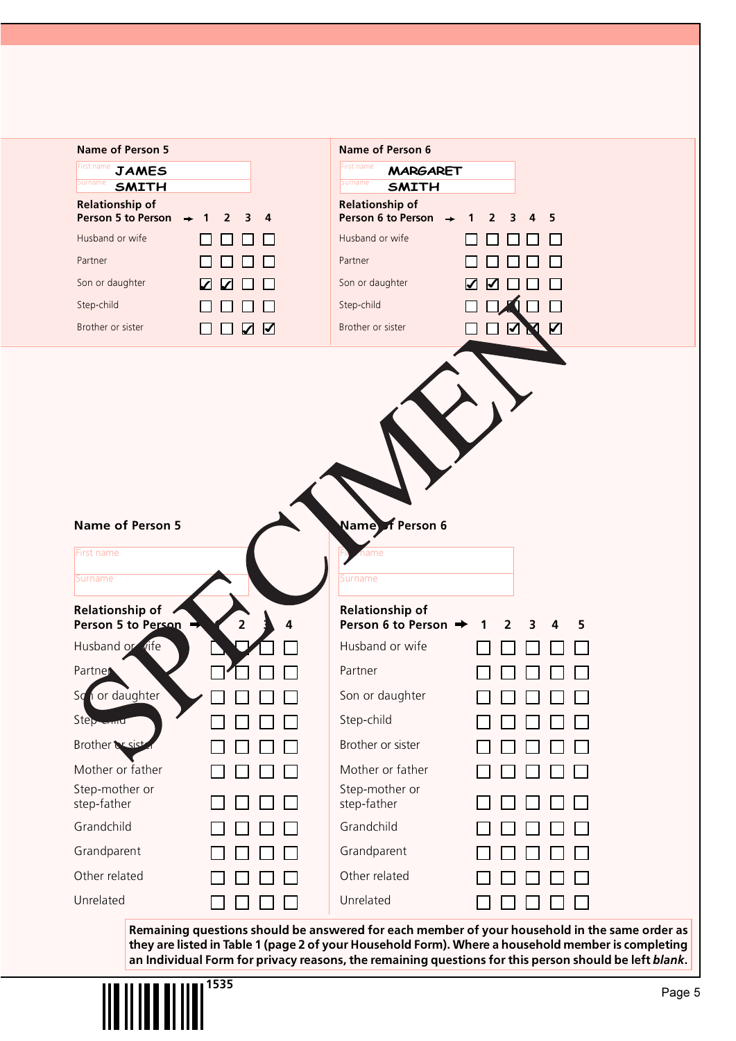| <b>Name of Person 5</b>                |                | <b>Name of Person 6</b>                                  |                                                                                               |
|----------------------------------------|----------------|----------------------------------------------------------|-----------------------------------------------------------------------------------------------|
| First name<br><b>JAMES</b><br>Surname  |                | First name<br><b>MARGARET</b><br>Surname<br><b>SMITH</b> |                                                                                               |
| <b>SMITH</b><br><b>Relationship of</b> |                | <b>Relationship of</b>                                   |                                                                                               |
| <b>Person 5 to Person</b>              |                | Person 6 to Person                                       | 5<br>2                                                                                        |
| Husband or wife<br>Partner             |                | Husband or wife<br>Partner                               |                                                                                               |
| Son or daughter                        |                | Son or daughter                                          |                                                                                               |
| Step-child                             | ✔              | Step-child                                               |                                                                                               |
| Brother or sister                      | ☑<br>☑         | Brother or sister                                        | $\boldsymbol{\mathsf{Z}}$<br>$\blacktriangleright$                                            |
|                                        |                |                                                          |                                                                                               |
|                                        |                |                                                          |                                                                                               |
|                                        |                |                                                          |                                                                                               |
|                                        |                |                                                          |                                                                                               |
|                                        |                |                                                          |                                                                                               |
|                                        |                |                                                          |                                                                                               |
|                                        |                |                                                          |                                                                                               |
| <b>Name of Person 5</b>                |                | Name f Person 6                                          |                                                                                               |
| First name                             |                | ne                                                       |                                                                                               |
| Surname                                |                | Surname                                                  |                                                                                               |
| Relationship of                        |                | Relationship of                                          |                                                                                               |
| Person 5 to Person                     | $\overline{2}$ | Person 6 to Person →                                     | 2<br>5<br>3                                                                                   |
| Husband or vife                        |                | Husband or wife                                          |                                                                                               |
| Partner                                |                | Partner                                                  |                                                                                               |
| or daughter<br>Sd                      |                | Son or daughter                                          |                                                                                               |
| Step-erma                              |                | Step-child                                               |                                                                                               |
| Brother & sist                         |                | Brother or sister                                        |                                                                                               |
| Mother or father                       |                | Mother or father                                         |                                                                                               |
| Step-mother or<br>step-father          |                | Step-mother or<br>step-father                            |                                                                                               |
| Grandchild                             |                | Grandchild                                               |                                                                                               |
| Grandparent                            |                | Grandparent                                              |                                                                                               |
| Other related                          |                | Other related                                            |                                                                                               |
|                                        |                | Unrelated                                                |                                                                                               |
| Unrelated                              |                |                                                          |                                                                                               |
|                                        |                |                                                          | Remaining questions should be answered for each member of your household in the same order as |

**they are listed in Table 1 (page 2 of your Household Form). Where a household member is completing an Individual Form for privacy reasons, the remaining questions for this person should be left** *blank***.**

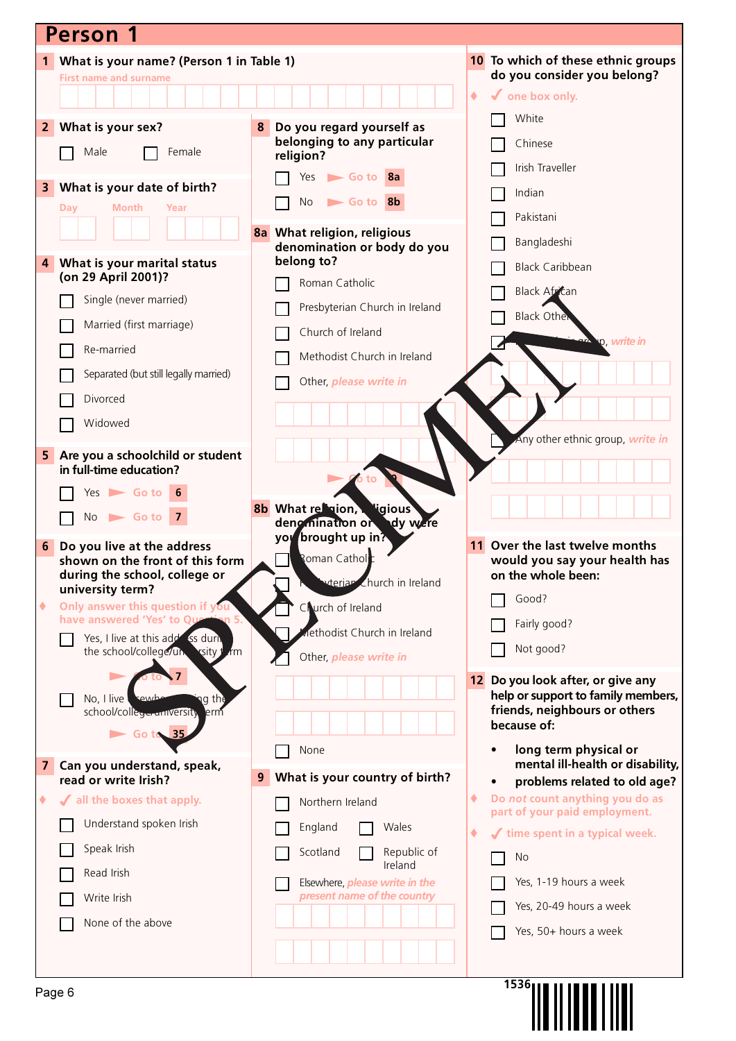| <b>Person 1</b>                                                               |                                                               |                                                                       |
|-------------------------------------------------------------------------------|---------------------------------------------------------------|-----------------------------------------------------------------------|
| What is your name? (Person 1 in Table 1)<br>1                                 |                                                               | 10 To which of these ethnic groups                                    |
| <b>First name and surname</b>                                                 |                                                               | do you consider you belong?<br>۰<br>$\checkmark$ one box only.        |
|                                                                               |                                                               | White                                                                 |
| What is your sex?<br>2 <sup>1</sup>                                           | Do you regard yourself as<br>8<br>belonging to any particular | Chinese                                                               |
| Male<br>Female                                                                | religion?                                                     | Irish Traveller                                                       |
| What is your date of birth?<br>3                                              | Go to 8a<br>Yes                                               | Indian                                                                |
| Month<br>Day<br>Year                                                          | Go to 8b<br>No                                                | Pakistani                                                             |
|                                                                               | 8a What religion, religious<br>denomination or body do you    | Bangladeshi                                                           |
| What is your marital status<br>4                                              | belong to?                                                    | <b>Black Caribbean</b>                                                |
| (on 29 April 2001)?                                                           | Roman Catholic                                                | Black African                                                         |
| Single (never married)                                                        | Presbyterian Church in Ireland                                | <b>Black Other</b>                                                    |
| Married (first marriage)                                                      | Church of Ireland                                             | o, write in                                                           |
| Re-married                                                                    | Methodist Church in Ireland                                   |                                                                       |
| Separated (but still legally married)                                         | Other, please write in                                        |                                                                       |
| Divorced                                                                      |                                                               |                                                                       |
| Widowed                                                                       |                                                               | Any other ethnic group, write in                                      |
| 5<br>Are you a schoolchild or student                                         |                                                               |                                                                       |
| in full-time education?                                                       |                                                               |                                                                       |
| $Yes$ Go to 6<br>$No \rightharpoonup Go$ to 7                                 | <b>8b</b> What religion, sigious                              |                                                                       |
|                                                                               | deng mination or<br>dy were<br>you brought up in?             |                                                                       |
| Do you live at the address<br>6<br>shown on the front of this form            | Roman Catholic                                                | 11 Over the last twelve months<br>would you say your health has       |
| during the school, college or<br>university term?                             | vteriar Church in Ireland                                     | on the whole been:                                                    |
| Only answer this question if you<br>۰                                         | Courch of Ireland                                             | Good?                                                                 |
| have answered 'Yes' to Qu<br>Yes, I live at this add ss dun.                  | lethodist Church in Ireland                                   | Fairly good?                                                          |
| the school/college/un<br><b>xsity</b><br>łm                                   | Other, please write in                                        | Not good?                                                             |
|                                                                               |                                                               | 12 Do you look after, or give any                                     |
| No, I live<br>າg the<br>:ewb<br>school/collegerantversity<br>lerm             |                                                               | help or support to family members,<br>friends, neighbours or others   |
| $\triangleright$ Go to 35                                                     |                                                               | because of:                                                           |
|                                                                               | None                                                          | long term physical or<br>mental ill-health or disability,             |
| $\overline{\mathbf{z}}$<br>Can you understand, speak,<br>read or write Irish? | What is your country of birth?<br>9                           | problems related to old age?                                          |
| If all the boxes that apply.<br>٠                                             | Northern Ireland                                              | Do not count anything you do as<br>٠<br>part of your paid employment. |
| Understand spoken Irish                                                       | England<br>Wales                                              | time spent in a typical week.<br>۰                                    |
| Speak Irish                                                                   | Republic of<br>Scotland                                       | No                                                                    |
| Read Irish                                                                    | Ireland<br>Elsewhere, <i>please write in the</i>              | Yes, 1-19 hours a week                                                |
| Write Irish                                                                   | present name of the country                                   | Yes, 20-49 hours a week                                               |
| None of the above                                                             |                                                               | Yes, 50+ hours a week                                                 |
|                                                                               |                                                               |                                                                       |
|                                                                               |                                                               | 1536 <sub>1</sub>                                                     |
| Page 6                                                                        |                                                               |                                                                       |
|                                                                               |                                                               |                                                                       |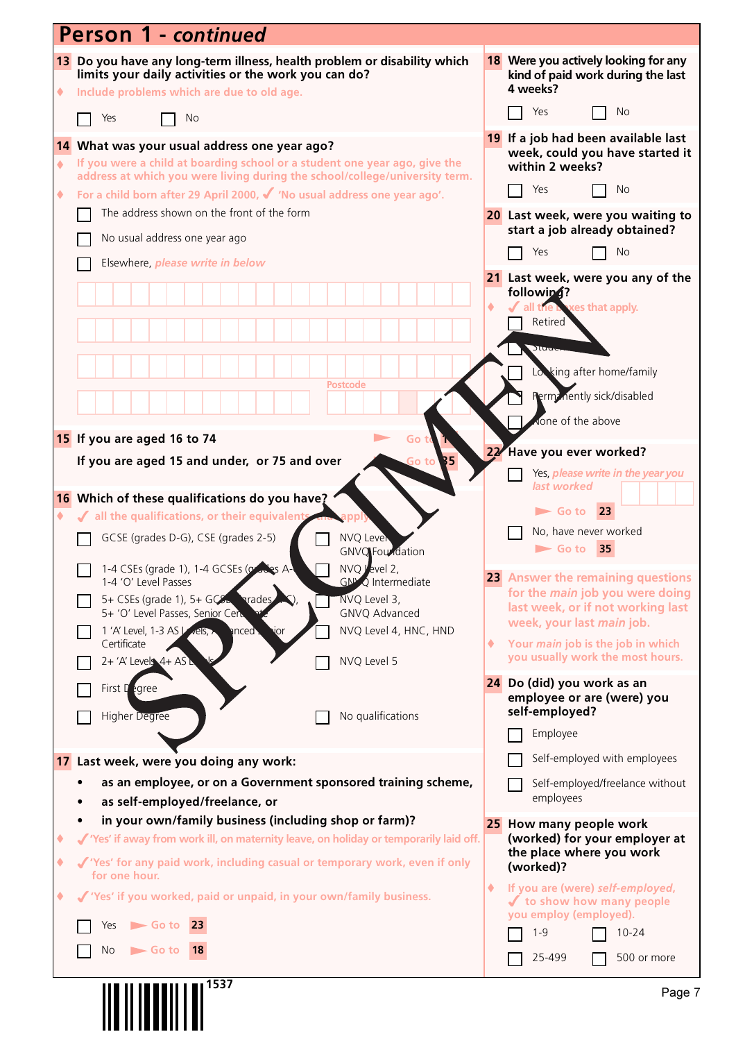|              | <b>Person 1 - continued</b>                                                                                                                                                    |     |                                                                                       |
|--------------|--------------------------------------------------------------------------------------------------------------------------------------------------------------------------------|-----|---------------------------------------------------------------------------------------|
| ۰            | 13 Do you have any long-term illness, health problem or disability which<br>limits your daily activities or the work you can do?<br>Include problems which are due to old age. |     | 18 Were you actively looking for any<br>kind of paid work during the last<br>4 weeks? |
|              | Yes<br><b>No</b>                                                                                                                                                               |     | Yes<br>No                                                                             |
|              | 14 What was your usual address one year ago?                                                                                                                                   |     | 19 If a job had been available last<br>week, could you have started it                |
| $\spadesuit$ | If you were a child at boarding school or a student one year ago, give the<br>address at which you were living during the school/college/university term.                      |     | within 2 weeks?                                                                       |
| ۰            | For a child born after 29 April 2000, $\checkmark$ 'No usual address one year ago'.                                                                                            |     | Yes<br>No                                                                             |
|              | The address shown on the front of the form                                                                                                                                     |     | 20 Last week, were you waiting to                                                     |
|              | No usual address one year ago                                                                                                                                                  |     | start a job already obtained?                                                         |
|              | Elsewhere, please write in below                                                                                                                                               |     | Yes<br><b>No</b>                                                                      |
|              |                                                                                                                                                                                |     | 21 Last week, were you any of the<br>followin4?                                       |
|              |                                                                                                                                                                                |     | xes that apply.<br>all the <b>I</b><br>Retired                                        |
|              |                                                                                                                                                                                |     |                                                                                       |
|              |                                                                                                                                                                                |     | Stude<br>Lowking after home/family                                                    |
|              | <b>Postcode</b>                                                                                                                                                                |     | Perm: nently sick/disabled                                                            |
|              |                                                                                                                                                                                |     | vone of the above                                                                     |
|              | 15 If you are aged 16 to 74<br>Go                                                                                                                                              |     |                                                                                       |
|              | If you are aged 15 and under, or 75 and over<br>B 5<br>Go to                                                                                                                   | 22/ | Have you ever worked?                                                                 |
|              |                                                                                                                                                                                |     | Yes, please write in the year you<br>last worked                                      |
| ۰            | 16 Which of these qualifications do you have?<br>√ all the qualifications, or their equivalent                                                                                 |     | 23<br>$\blacktriangleright$ Go to                                                     |
|              | GCSE (grades D-G), CSE (grades 2-5)<br><b>NVQ Lever</b>                                                                                                                        |     | No, have never worked                                                                 |
|              | <b>GNVQ</b> Foundation                                                                                                                                                         |     | 35<br>$\blacktriangleright$ Go to                                                     |
|              | NVQ Level 2<br>1-4 CSEs (grade 1), 1-4 GCSEs (grades A-<br><b>GN<sup>N</sup>Q</b> Intermediate<br>1-4 'O' Level Passes                                                         |     | 23 Answer the remaining questions                                                     |
|              | NVQ Level 3,<br>5+ CSEs (grade 1), 5+ $GCE$<br><b>arades</b><br>5+ 'O' Level Passes, Senior Cert<br>GNVQ Advanced                                                              |     | for the <i>main</i> job you were doing<br>last week, or if not working last           |
|              | NVQ Level 4, HNC, HND<br>1 'A' Level, 1-3 AS / vels,<br>anced.<br>ıor                                                                                                          |     | week, your last main job.                                                             |
|              | Certificate<br>NVQ Level 5<br>$2 + 'A'$ Levels $4 + AS$ L                                                                                                                      | ۰   | Your main job is the job in which<br>you usually work the most hours.                 |
|              |                                                                                                                                                                                |     | 24 Do (did) you work as an                                                            |
|              | First Degree                                                                                                                                                                   |     | employee or are (were) you<br>self-employed?                                          |
|              | No qualifications<br><b>Higher Degree</b>                                                                                                                                      |     | Employee                                                                              |
|              | 17 Last week, were you doing any work:                                                                                                                                         |     | Self-employed with employees                                                          |
|              | as an employee, or on a Government sponsored training scheme,                                                                                                                  |     | Self-employed/freelance without                                                       |
|              | as self-employed/freelance, or                                                                                                                                                 |     | employees                                                                             |
|              | in your own/family business (including shop or farm)?                                                                                                                          |     | 25 How many people work                                                               |
| ٠            | √ 'Yes' if away from work ill, on maternity leave, on holiday or temporarily laid off.                                                                                         |     | (worked) for your employer at<br>the place where you work                             |
| ۰            | √ 'Yes' for any paid work, including casual or temporary work, even if only<br>for one hour.                                                                                   |     | (worked)?                                                                             |
| ٠            | √ 'Yes' if you worked, paid or unpaid, in your own/family business.                                                                                                            | ۰   | If you are (were) self-employed,<br>✔ to show how many people                         |
|              | $\triangleright$ Go to 23<br>Yes                                                                                                                                               |     | you employ (employed).<br>$1 - 9$<br>$10 - 24$                                        |
|              | No<br>$\blacktriangleright$ Go to<br><b>18</b>                                                                                                                                 |     | 25-499<br>500 or more                                                                 |
|              |                                                                                                                                                                                |     |                                                                                       |
|              | 1537                                                                                                                                                                           |     | Page 7                                                                                |
|              |                                                                                                                                                                                |     |                                                                                       |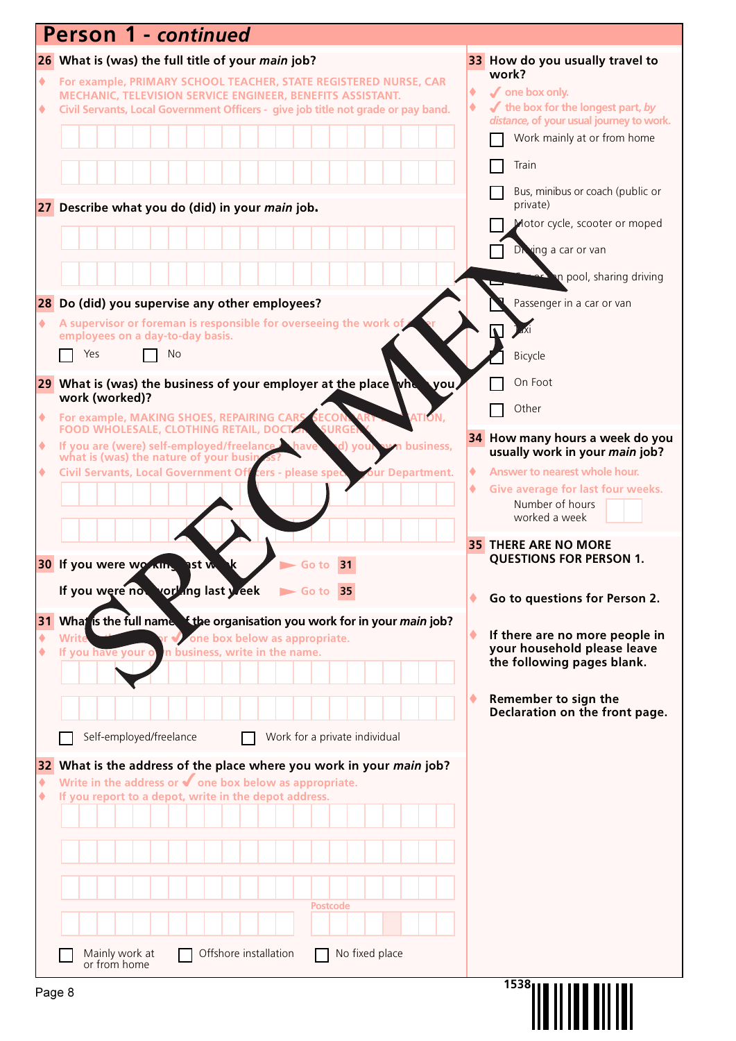|                 | <b>Person 1 - continued</b>            |                |                         |                       |                                                                                                  |                                                                       |                                                                                   |                  |   |                                                                                                    |
|-----------------|----------------------------------------|----------------|-------------------------|-----------------------|--------------------------------------------------------------------------------------------------|-----------------------------------------------------------------------|-----------------------------------------------------------------------------------|------------------|---|----------------------------------------------------------------------------------------------------|
|                 |                                        |                |                         |                       | 26 What is (was) the full title of your main job?                                                |                                                                       |                                                                                   |                  |   | 33 How do you usually travel to                                                                    |
| ۰               |                                        |                |                         |                       |                                                                                                  | MECHANIC, TELEVISION SERVICE ENGINEER, BENEFITS ASSISTANT.            | For example, PRIMARY SCHOOL TEACHER, STATE REGISTERED NURSE, CAR                  |                  | ۰ | work?<br>$\sqrt{\ }$ one box only.                                                                 |
| ۰               |                                        |                |                         |                       |                                                                                                  |                                                                       | Civil Servants, Local Government Officers - give job title not grade or pay band. |                  | ۰ | $\blacktriangleright$ the box for the longest part, by<br>distance, of your usual journey to work. |
|                 |                                        |                |                         |                       |                                                                                                  |                                                                       |                                                                                   |                  |   | Work mainly at or from home                                                                        |
|                 |                                        |                |                         |                       |                                                                                                  |                                                                       |                                                                                   |                  |   | Train                                                                                              |
|                 |                                        |                |                         |                       |                                                                                                  |                                                                       |                                                                                   |                  |   | Bus, minibus or coach (public or                                                                   |
|                 |                                        |                |                         |                       | 27 Describe what you do (did) in your main job.                                                  |                                                                       |                                                                                   |                  |   | private)                                                                                           |
|                 |                                        |                |                         |                       |                                                                                                  |                                                                       |                                                                                   |                  |   | Motor cycle, scooter or moped                                                                      |
|                 |                                        |                |                         |                       |                                                                                                  |                                                                       |                                                                                   |                  |   | Diving a car or van                                                                                |
|                 |                                        |                |                         |                       |                                                                                                  |                                                                       |                                                                                   |                  |   | an pool, sharing driving                                                                           |
| ٠               |                                        |                |                         |                       | 28 Do (did) you supervise any other employees?                                                   | A supervisor or foreman is responsible for overseeing the work of     |                                                                                   |                  |   | Passenger in a car or van                                                                          |
|                 | employees on a day-to-day basis.       |                |                         |                       |                                                                                                  |                                                                       |                                                                                   |                  |   |                                                                                                    |
|                 | Yes                                    |                | No                      |                       |                                                                                                  |                                                                       |                                                                                   |                  |   | Bicycle                                                                                            |
|                 | work (worked)?                         |                |                         |                       |                                                                                                  |                                                                       | 29 What is (was) the business of your employer at the place whe                   | <b>⊾you</b>      |   | On Foot                                                                                            |
| $\blacklozenge$ |                                        |                |                         |                       | For example, MAKING SHOES, REPAIRING CARS SECO                                                   |                                                                       |                                                                                   |                  |   | Other                                                                                              |
| ۰               |                                        |                |                         |                       | <b>FOOD WHOLESALE, CLOTHING RETAIL, DOCTOR</b><br>If you are (were) self-employed/freelance have | <b>SURGE</b><br>d) you                                                |                                                                                   | <b>business,</b> |   | 34 How many hours a week do you                                                                    |
| ۰               | what is (was) the nature of your busin |                |                         |                       | Civil Servants, Local Government Off cers - please spec                                          |                                                                       |                                                                                   | our Department.  | ۰ | usually work in your main job?<br>Answer to nearest whole hour.                                    |
|                 |                                        |                |                         |                       |                                                                                                  |                                                                       |                                                                                   |                  |   | Give average for last four weeks.                                                                  |
|                 |                                        |                |                         |                       |                                                                                                  |                                                                       |                                                                                   |                  |   | Number of hours<br>worked a week                                                                   |
|                 |                                        |                |                         |                       |                                                                                                  |                                                                       |                                                                                   |                  |   | <b>35 THERE ARE NO MORE</b>                                                                        |
|                 | 30 If you were working ast w           |                |                         |                       |                                                                                                  | 31<br>Go to                                                           |                                                                                   |                  |   | <b>QUESTIONS FOR PERSON 1.</b>                                                                     |
|                 | If you were now yorking last y eek     |                |                         |                       |                                                                                                  | $\triangleright$ Go to 35                                             |                                                                                   |                  |   | Go to questions for Person 2.                                                                      |
| 31              |                                        |                |                         |                       |                                                                                                  |                                                                       | What is the full name. If the organisation you work for in your main job?         |                  |   |                                                                                                    |
|                 | Writ<br>If you have your o             |                |                         |                       | one box below as appropriate.<br>In business, write in the name.                                 |                                                                       |                                                                                   |                  | ٠ | If there are no more people in<br>your household please leave                                      |
|                 |                                        |                |                         |                       |                                                                                                  |                                                                       |                                                                                   |                  |   | the following pages blank.                                                                         |
|                 |                                        |                |                         |                       |                                                                                                  |                                                                       |                                                                                   |                  |   | Remember to sign the                                                                               |
|                 |                                        |                |                         |                       |                                                                                                  |                                                                       |                                                                                   |                  |   | Declaration on the front page.                                                                     |
|                 |                                        |                | Self-employed/freelance |                       |                                                                                                  | Work for a private individual                                         |                                                                                   |                  |   |                                                                                                    |
|                 |                                        |                |                         |                       |                                                                                                  | Write in the address or $\blacklozenge$ one box below as appropriate. | 32 What is the address of the place where you work in your main job?              |                  |   |                                                                                                    |
| ٠               |                                        |                |                         |                       | If you report to a depot, write in the depot address.                                            |                                                                       |                                                                                   |                  |   |                                                                                                    |
|                 |                                        |                |                         |                       |                                                                                                  |                                                                       |                                                                                   |                  |   |                                                                                                    |
|                 |                                        |                |                         |                       |                                                                                                  |                                                                       |                                                                                   |                  |   |                                                                                                    |
|                 |                                        |                |                         |                       |                                                                                                  |                                                                       |                                                                                   |                  |   |                                                                                                    |
|                 |                                        |                |                         |                       |                                                                                                  | <b>Postcode</b>                                                       |                                                                                   |                  |   |                                                                                                    |
|                 |                                        |                |                         |                       |                                                                                                  |                                                                       |                                                                                   |                  |   |                                                                                                    |
|                 |                                        | Mainly work at |                         | Offshore installation |                                                                                                  |                                                                       | No fixed place                                                                    |                  |   |                                                                                                    |
|                 |                                        | or from home   |                         |                       |                                                                                                  |                                                                       |                                                                                   |                  |   | 1538                                                                                               |
| Page 8          |                                        |                |                         |                       |                                                                                                  |                                                                       |                                                                                   |                  |   |                                                                                                    |
|                 |                                        |                |                         |                       |                                                                                                  |                                                                       |                                                                                   |                  |   |                                                                                                    |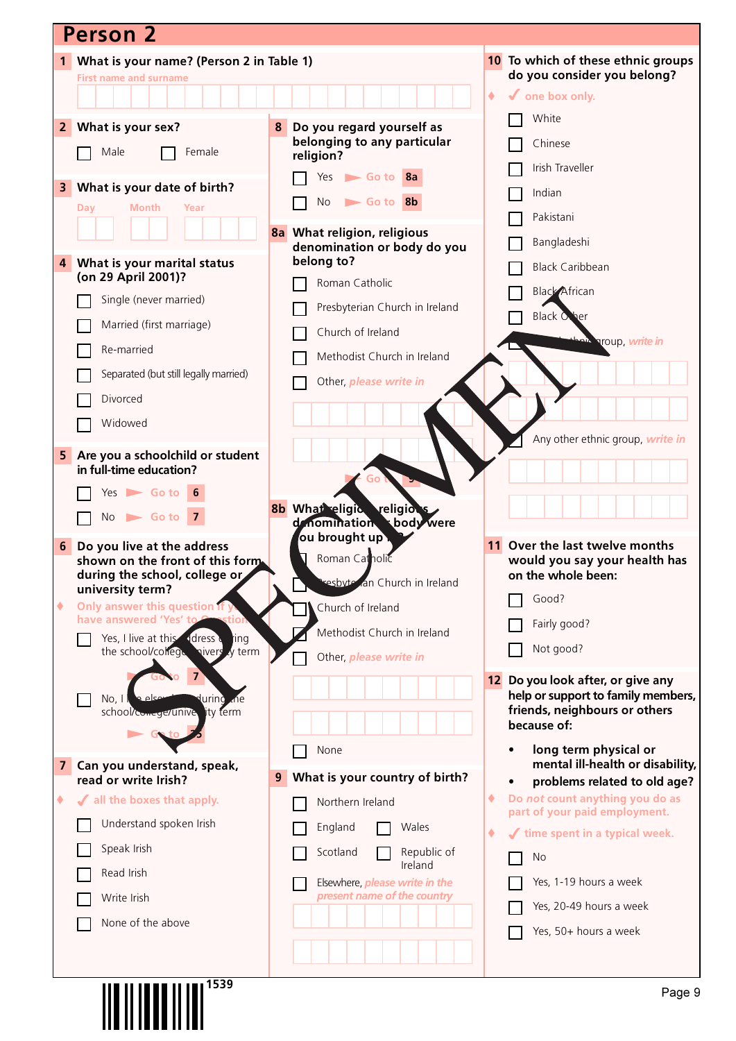|                | <b>Person 2</b>                                                             |                                                               |                             |                                                                      |
|----------------|-----------------------------------------------------------------------------|---------------------------------------------------------------|-----------------------------|----------------------------------------------------------------------|
|                | 1 What is your name? (Person 2 in Table 1)                                  |                                                               |                             | 10 To which of these ethnic groups                                   |
|                | <b>First name and surname</b>                                               |                                                               | do you consider you belong? |                                                                      |
|                |                                                                             |                                                               | $\blacklozenge$             | $\checkmark$ one box only.                                           |
| $\overline{2}$ | What is your sex?                                                           | Do you regard yourself as<br>8                                |                             | White                                                                |
|                | Male<br>Female                                                              | belonging to any particular<br>religion?                      |                             | Chinese<br>Irish Traveller                                           |
| 3              | What is your date of birth?                                                 | $Yes$ Go to $8a$                                              |                             |                                                                      |
|                | Month<br>Year<br>Day                                                        | <b>No</b><br>Go to 8b                                         |                             | Indian                                                               |
|                |                                                                             | 8a What religion, religious                                   |                             | Pakistani                                                            |
|                |                                                                             | denomination or body do you                                   |                             | Bangladeshi                                                          |
| 4              | What is your marital status                                                 | belong to?                                                    |                             | <b>Black Caribbean</b>                                               |
|                | (on 29 April 2001)?                                                         | Roman Catholic                                                |                             | <b>Black African</b>                                                 |
|                | Single (never married)                                                      | Presbyterian Church in Ireland                                |                             | <b>Black Other</b>                                                   |
|                | Married (first marriage)                                                    | Church of Ireland                                             |                             |                                                                      |
|                | Re-married                                                                  | Methodist Church in Ireland                                   |                             | an <sup>ia</sup> aroup, write in                                     |
|                | Separated (but still legally married)                                       | Other, please write in                                        |                             |                                                                      |
|                | Divorced                                                                    |                                                               |                             |                                                                      |
|                | Widowed                                                                     |                                                               |                             |                                                                      |
|                |                                                                             |                                                               |                             | Any other ethnic group, write in                                     |
| 5              | Are you a schoolchild or student<br>in full-time education?                 |                                                               |                             |                                                                      |
|                | $Yes$ Go to 6                                                               |                                                               |                             |                                                                      |
|                | $No \rightharpoonup Go$ to 7                                                | 8b What eligic religions                                      |                             |                                                                      |
|                |                                                                             | body were<br>denomination<br>ou brought up .                  |                             |                                                                      |
| 6              | Do you live at the address<br>shown on the front of this form.              | Roman Catholic                                                |                             | Over the last twelve months<br>would you say your health has         |
|                | during the school, college or                                               | resbyte an Church in Ireland                                  |                             | on the whole been:                                                   |
| ۰              | university term?<br>Only answer this question if yo                         | Church of Ireland                                             |                             | Good?                                                                |
|                | have answered 'Yes' to<br>tior                                              | Methodist Church in Ireland                                   |                             | Fairly good?                                                         |
|                | ddress d<br>Yes, I live at this<br>ting<br>the school/college nivers y term |                                                               |                             | Not good?                                                            |
|                |                                                                             | Other, please write in                                        |                             |                                                                      |
|                | معام ج<br>No, 1<br>lurinò<br>.ne                                            |                                                               | 12                          | Do you look after, or give any<br>help or support to family members, |
|                | lity term<br>school/comege/unive                                            |                                                               |                             | friends, neighbours or others                                        |
|                |                                                                             |                                                               |                             | because of:                                                          |
| 7              | Can you understand, speak,                                                  | None                                                          |                             | long term physical or<br>mental ill-health or disability,            |
|                | read or write Irish?                                                        | What is your country of birth?<br>9                           |                             | problems related to old age?                                         |
| ۰              | √ all the boxes that apply.                                                 | Northern Ireland                                              | ۰                           | Do not count anything you do as                                      |
|                | Understand spoken Irish                                                     | England<br>Wales                                              | ۰                           | part of your paid employment.<br>time spent in a typical week.       |
|                | Speak Irish                                                                 | Republic of<br>Scotland                                       |                             | <b>No</b>                                                            |
|                | Read Irish                                                                  | Ireland                                                       |                             |                                                                      |
|                | Write Irish                                                                 | Elsewhere, please write in the<br>present name of the country |                             | Yes, 1-19 hours a week                                               |
|                | None of the above                                                           |                                                               |                             | Yes, 20-49 hours a week                                              |
|                |                                                                             |                                                               |                             | Yes, 50+ hours a week                                                |
|                |                                                                             |                                                               |                             |                                                                      |
|                | $11$ and $11$ and $11$ and $1539$                                           |                                                               |                             |                                                                      |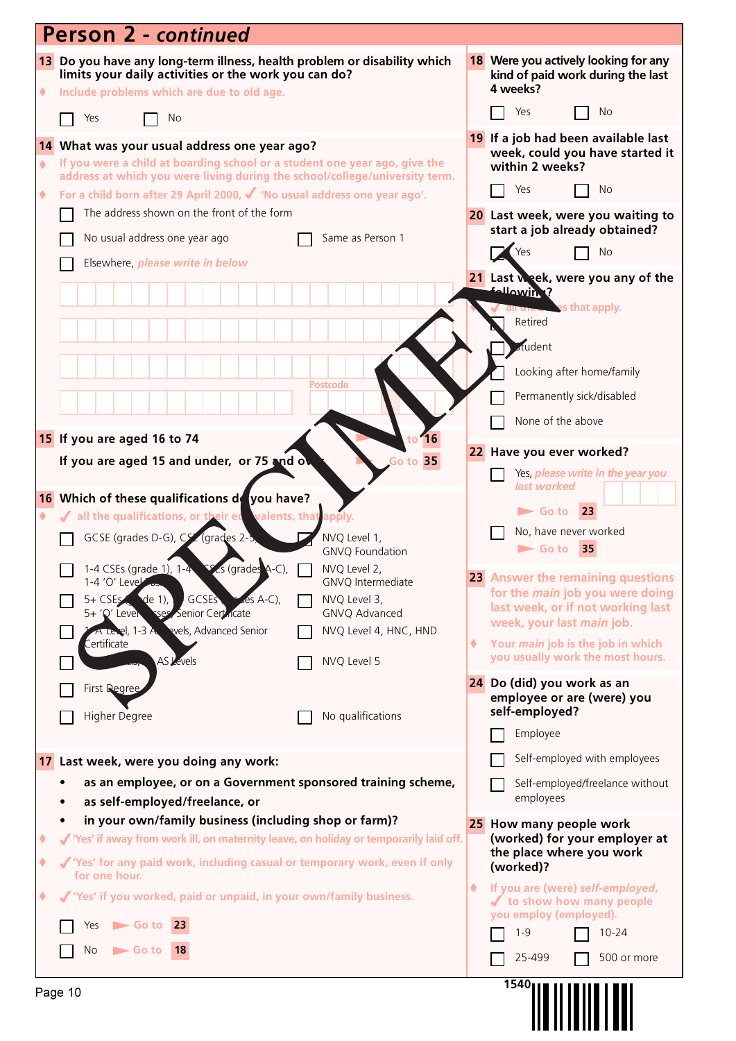|             | <b>Person 2 - continued</b>                                                                                                                                                                                                                                                                                                                                                                                                                                                                                                                                    |   |                                                                                                                                                                                                                                                                                                                                                                                             |
|-------------|----------------------------------------------------------------------------------------------------------------------------------------------------------------------------------------------------------------------------------------------------------------------------------------------------------------------------------------------------------------------------------------------------------------------------------------------------------------------------------------------------------------------------------------------------------------|---|---------------------------------------------------------------------------------------------------------------------------------------------------------------------------------------------------------------------------------------------------------------------------------------------------------------------------------------------------------------------------------------------|
| ۰           | 13 Do you have any long-term illness, health problem or disability which<br>limits your daily activities or the work you can do?<br>Include problems which are due to old age.                                                                                                                                                                                                                                                                                                                                                                                 |   | 18 Were you actively looking for any<br>kind of paid work during the last<br>4 weeks?<br>Yes<br>No                                                                                                                                                                                                                                                                                          |
|             | Yes<br>No.                                                                                                                                                                                                                                                                                                                                                                                                                                                                                                                                                     |   |                                                                                                                                                                                                                                                                                                                                                                                             |
| ٠<br>٠      | 14 What was your usual address one year ago?<br>If you were a child at boarding school or a student one year ago, give the<br>address at which you were living during the school/college/university term.<br>For a child born after 29 April 2000, √ 'No usual address one year ago'.<br>The address shown on the front of the form<br>No usual address one year ago<br>Same as Person 1<br>Elsewhere, please write in below                                                                                                                                   |   | 19 If a job had been available last<br>week, could you have started it<br>within 2 weeks?<br>Yes<br>No<br>20 Last week, were you waiting to<br>start a job already obtained?<br>Yes<br><b>No</b><br>21 Last week, were you any of the<br><b>following?</b>                                                                                                                                  |
|             | <b>Postcode</b><br>15 If you are aged 16 to 74<br>16                                                                                                                                                                                                                                                                                                                                                                                                                                                                                                           |   | <b>Les that apply.</b><br>Retired<br>dudent<br>Looking after home/family<br>Permanently sick/disabled<br>None of the above                                                                                                                                                                                                                                                                  |
|             | If you are aged 15 and under, or 75 and over<br>Go to 35                                                                                                                                                                                                                                                                                                                                                                                                                                                                                                       |   | 22 Have you ever worked?                                                                                                                                                                                                                                                                                                                                                                    |
|             | 16 Which of these qualifications de you have?<br>all the qualifications, or their ed valents, that apply.<br>GCSE (grades D-G), CSZ (grades 2-5<br>NVQ Level 1,<br><b>GNVQ Foundation</b><br>1-4 CSEs (grade 1), 1-4 $\leq$ (grades A-C), $\qquad \qquad$ NVQ Level 2,<br>1-4 'O' Level as<br>GNVQ Intermediate<br>$5 + CSE$ , de 1),<br><b>GCSES</b><br>NVQ Level 3,<br>$4es$ A-C),<br>5+ 'Q' Leven see Senior Certicate<br>GNVQ Advanced<br>evels, Advanced Senior<br>A Level, 1-3 A<br>NVQ Level 4, HNC, HND<br>.<br>ertificate<br>AS Levels<br>NVQ Level 5 | ۰ | Yes, <i>please write in the year you</i><br>last worked<br>$\blacktriangleright$ Go to<br><b>23</b><br>No, have never worked<br>$\blacktriangleright$ Go to<br>35<br>23 Answer the remaining questions<br>for the <i>main</i> job you were doing<br>last week, or if not working last<br>week, your last main job.<br>Your main job is the job in which<br>you usually work the most hours. |
|             | <b>First Degree</b>                                                                                                                                                                                                                                                                                                                                                                                                                                                                                                                                            |   | 24 Do (did) you work as an<br>employee or are (were) you                                                                                                                                                                                                                                                                                                                                    |
|             | Higher Degree<br>No qualifications                                                                                                                                                                                                                                                                                                                                                                                                                                                                                                                             |   | self-employed?<br>Employee                                                                                                                                                                                                                                                                                                                                                                  |
|             | 17 Last week, were you doing any work:                                                                                                                                                                                                                                                                                                                                                                                                                                                                                                                         |   | Self-employed with employees                                                                                                                                                                                                                                                                                                                                                                |
|             | as an employee, or on a Government sponsored training scheme,<br>as self-employed/freelance, or                                                                                                                                                                                                                                                                                                                                                                                                                                                                |   | Self-employed/freelance without<br>employees                                                                                                                                                                                                                                                                                                                                                |
| ٠<br>۰<br>٠ | in your own/family business (including shop or farm)?<br>√ 'Yes' if away from work ill, on maternity leave, on holiday or temporarily laid off.<br>√ 'Yes' for any paid work, including casual or temporary work, even if only<br>for one hour.<br>√ 'Yes' if you worked, paid or unpaid, in your own/family business.<br>$\blacktriangleright$ Go to 23<br>Yes<br>No<br>$\blacktriangleright$ Go to<br>18                                                                                                                                                     | ۰ | 25 How many people work<br>(worked) for your employer at<br>the place where you work<br>(worked)?<br>If you are (were) self-employed,<br>✔ to show how many people<br>you employ (employed).<br>$1 - 9$<br>$10 - 24$                                                                                                                                                                        |
|             |                                                                                                                                                                                                                                                                                                                                                                                                                                                                                                                                                                |   | 25-499<br>500 or more<br>1540                                                                                                                                                                                                                                                                                                                                                               |
|             | Page 10                                                                                                                                                                                                                                                                                                                                                                                                                                                                                                                                                        |   |                                                                                                                                                                                                                                                                                                                                                                                             |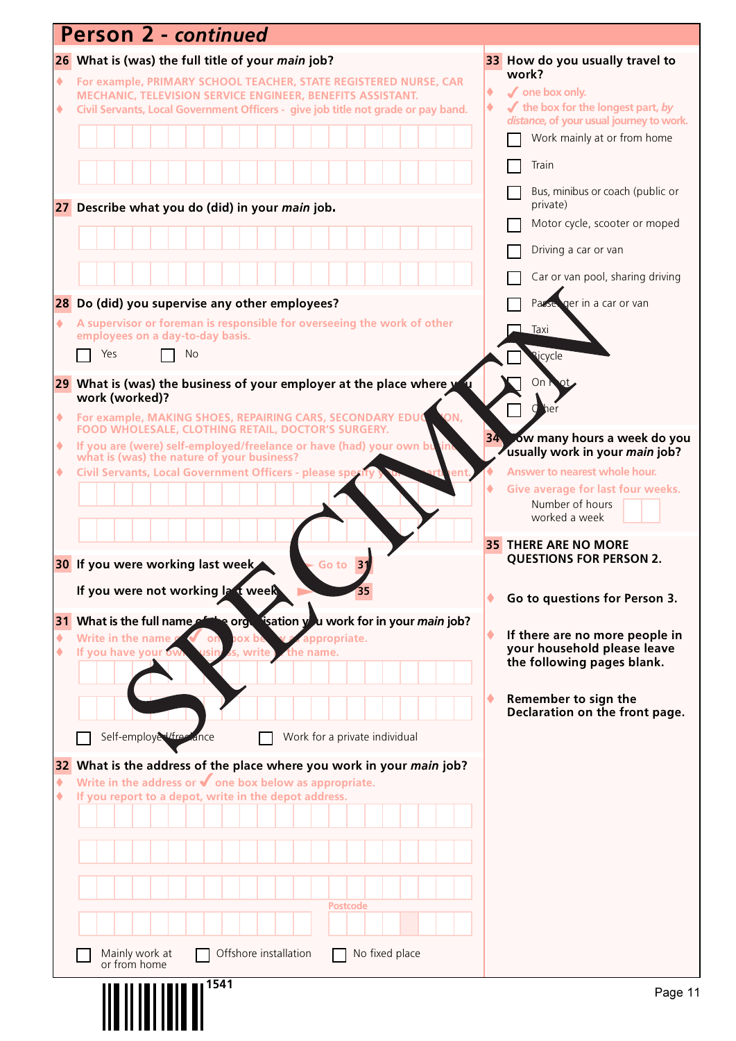|                 | <b>Person 2 - continued</b>                                                                                                                |   |                                                                                                    |
|-----------------|--------------------------------------------------------------------------------------------------------------------------------------------|---|----------------------------------------------------------------------------------------------------|
|                 | 26 What is (was) the full title of your <i>main</i> job?                                                                                   |   | 33 How do you usually travel to                                                                    |
| $\blacklozenge$ | For example, PRIMARY SCHOOL TEACHER, STATE REGISTERED NURSE, CAR<br>MECHANIC, TELEVISION SERVICE ENGINEER, BENEFITS ASSISTANT.             | ۰ | work?<br>$\boldsymbol{\checkmark}$ one box only.                                                   |
| ۰               | Civil Servants, Local Government Officers - give job title not grade or pay band.                                                          | ۰ | $\blacktriangleright$ the box for the longest part, by<br>distance, of your usual journey to work. |
|                 |                                                                                                                                            |   | Work mainly at or from home                                                                        |
|                 |                                                                                                                                            |   | Train                                                                                              |
|                 | 27 Describe what you do (did) in your main job.                                                                                            |   | Bus, minibus or coach (public or<br>private)                                                       |
|                 |                                                                                                                                            |   | Motor cycle, scooter or moped                                                                      |
|                 |                                                                                                                                            |   | Driving a car or van                                                                               |
|                 |                                                                                                                                            |   | Car or van pool, sharing driving                                                                   |
|                 | 28 Do (did) you supervise any other employees?                                                                                             |   | ger in a car or van<br>Passe                                                                       |
| ۰               | A supervisor or foreman is responsible for overseeing the work of other<br>employees on a day-to-day basis.                                |   | Taxi                                                                                               |
|                 | Yes<br>No                                                                                                                                  |   | licycle                                                                                            |
|                 | 29 What is (was) the business of your employer at the place where y                                                                        |   | On                                                                                                 |
| ۰               | work (worked)?<br>ON,<br>For example, MAKING SHOES, REPAIRING CARS, SECONDARY EDUC                                                         |   |                                                                                                    |
| ۰               | FOOD WHOLESALE, CLOTHING RETAIL, DOCTOR'S SURGERY.<br>If you are (were) self-employed/freelance or have (had) your own bu                  |   | 34 ow many hours a week do you                                                                     |
| ٠               | what is (was) the nature of your business?<br>Civil Servants, Local Government Officers - please sper                                      |   | usually work in your main job?<br>Answer to nearest whole hour.                                    |
|                 |                                                                                                                                            |   | Give average for last four weeks.                                                                  |
|                 |                                                                                                                                            |   | Number of hours<br>worked a week                                                                   |
|                 |                                                                                                                                            |   | <b>35 THERE ARE NO MORE</b>                                                                        |
|                 | 30 If you were working last week<br>31<br>Go to                                                                                            |   | <b>QUESTIONS FOR PERSON 2.</b>                                                                     |
|                 | If you were not working last week                                                                                                          |   | Go to questions for Person 3.                                                                      |
|                 | 31 What is the full name of the orgetication you work for in your main job?                                                                |   |                                                                                                    |
| ٠<br>٠          | Write in the name<br><b>Zappropriate.</b><br>ox be<br>on<br>If you have your ow<br>s, write<br>the name.                                   |   | If there are no more people in<br>your household please leave                                      |
|                 |                                                                                                                                            |   | the following pages blank.                                                                         |
|                 |                                                                                                                                            | ٠ | Remember to sign the                                                                               |
|                 |                                                                                                                                            |   | Declaration on the front page.                                                                     |
|                 | Self-employed/free ance<br>Work for a private individual                                                                                   |   |                                                                                                    |
| 32<br>٠         | What is the address of the place where you work in your main job?<br>Write in the address or $\blacklozenge$ one box below as appropriate. |   |                                                                                                    |
| ٠               | If you report to a depot, write in the depot address.                                                                                      |   |                                                                                                    |
|                 |                                                                                                                                            |   |                                                                                                    |
|                 |                                                                                                                                            |   |                                                                                                    |
|                 |                                                                                                                                            |   |                                                                                                    |
|                 | Postcode                                                                                                                                   |   |                                                                                                    |
|                 |                                                                                                                                            |   |                                                                                                    |
|                 | Offshore installation<br>No fixed place<br>Mainly work at<br>or from home                                                                  |   |                                                                                                    |
|                 | 1541                                                                                                                                       |   | Page 11                                                                                            |
|                 |                                                                                                                                            |   |                                                                                                    |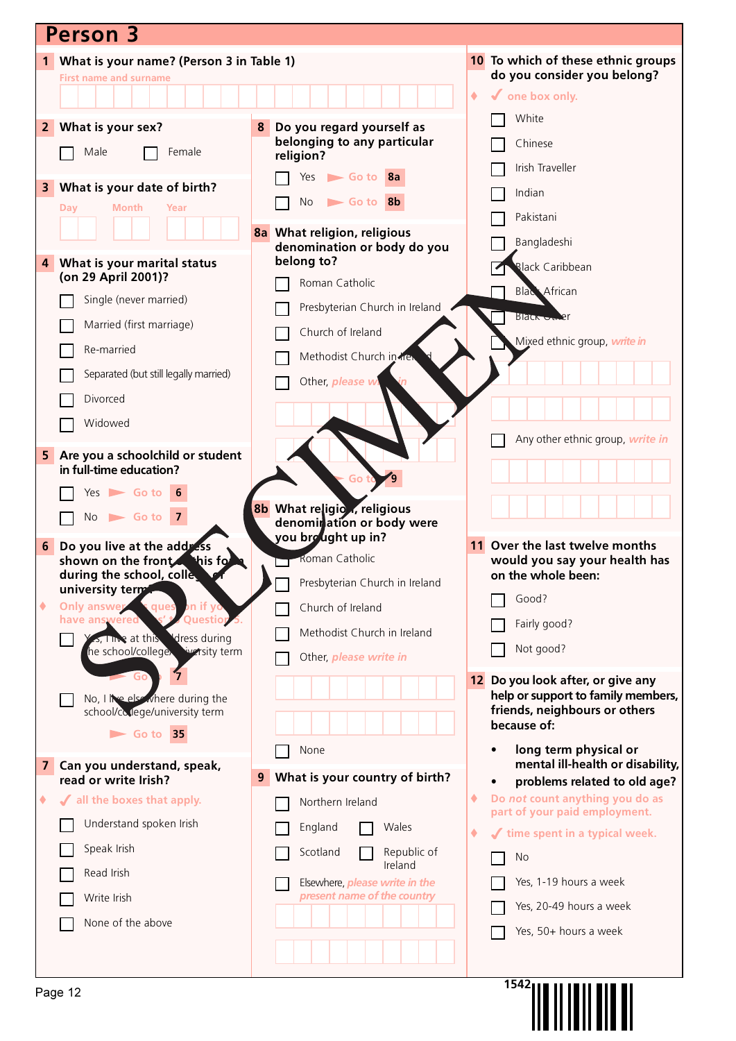| <b>Person 3</b>                                                         |                                          |                                                                         |
|-------------------------------------------------------------------------|------------------------------------------|-------------------------------------------------------------------------|
| What is your name? (Person 3 in Table 1)<br>1                           |                                          | 10 To which of these ethnic groups                                      |
| <b>First name and surname</b>                                           | do you consider you belong?              |                                                                         |
|                                                                         |                                          | $\sqrt{\ }$ one box only.<br>٠<br>White                                 |
| What is your sex?<br>2 <sup>1</sup>                                     | Do you regard yourself as<br>8           |                                                                         |
| Male<br>Female                                                          | belonging to any particular<br>religion? | Chinese                                                                 |
|                                                                         | Go to 8a<br>Yes                          | Irish Traveller                                                         |
| What is your date of birth?<br>3<br>Month<br>Day<br>Year                | Go to 8b<br><b>No</b>                    | Indian                                                                  |
|                                                                         | 8a What religion, religious              | Pakistani                                                               |
|                                                                         | denomination or body do you              | Bangladeshi                                                             |
| What is your marital status<br>4<br>(on 29 April 2001)?                 | belong to?                               | <b>Black Caribbean</b>                                                  |
| Single (never married)                                                  | Roman Catholic                           | <b>Blac</b> African                                                     |
| Married (first marriage)                                                | Presbyterian Church in Ireland           | <b>Black Uniter</b>                                                     |
|                                                                         | Church of Ireland                        | Mixed ethnic group, write in                                            |
| Re-married                                                              | Methodist Church in trev                 |                                                                         |
| Separated (but still legally married)                                   | Other, please wi                         |                                                                         |
| Divorced                                                                |                                          |                                                                         |
| Widowed                                                                 |                                          | Any other ethnic group, write in                                        |
| Are you a schoolchild or student<br>5 <sub>1</sub>                      |                                          |                                                                         |
| in full-time education?                                                 | Go to                                    |                                                                         |
| Yes $\triangleright$ Go to 6                                            | 8b What religion, religious              |                                                                         |
| $No \rightharpoonup Go$ to 7                                            | denomiration or body were                |                                                                         |
| Do you live at the address<br>6                                         | you brought up in?<br>Roman Catholic     | 11 Over the last twelve months                                          |
| shown on the front. his fo<br>during the school, colle                  | Presbyterian Church in Ireland           | would you say your health has<br>on the whole been:                     |
| university term<br>Only answer<br>٠<br>ques<br><b>bn</b> if yo          | Church of Ireland                        | Good?                                                                   |
| Question 5.<br>have answered                                            |                                          | Fairly good?                                                            |
| <b>S</b> , Tive at this Idress during<br>he school/college warsity term | Methodist Church in Ireland              | Not good?                                                               |
| Go                                                                      | Other, please write in                   |                                                                         |
| No, I live else where during the                                        |                                          | 12 Do you look after, or give any<br>help or support to family members, |
| school/college/university term                                          |                                          | friends, neighbours or others<br>because of:                            |
| $\blacktriangleright$ Go to 35                                          |                                          |                                                                         |
| Can you understand, speak,<br>$\mathbf{7}$                              | None                                     | long term physical or<br>mental ill-health or disability,               |
| read or write Irish?                                                    | What is your country of birth?<br>9      | problems related to old age?<br>$\bullet$                               |
| If all the boxes that apply.<br>٠                                       | Northern Ireland                         | Do not count anything you do as<br>٠<br>part of your paid employment.   |
| Understand spoken Irish                                                 | England<br>Wales                         | time spent in a typical week.<br>۰<br>J                                 |
| Speak Irish                                                             | Republic of<br>Scotland<br>Ireland       | <b>No</b>                                                               |
| Read Irish                                                              | Elsewhere, <i>please write in the</i>    | Yes, 1-19 hours a week                                                  |
| Write Irish                                                             | present name of the country              | Yes, 20-49 hours a week                                                 |
| None of the above                                                       |                                          | Yes, 50+ hours a week                                                   |
|                                                                         |                                          |                                                                         |
|                                                                         |                                          | 1542 <sub>1</sub>                                                       |
| Page 12                                                                 |                                          |                                                                         |
|                                                                         |                                          |                                                                         |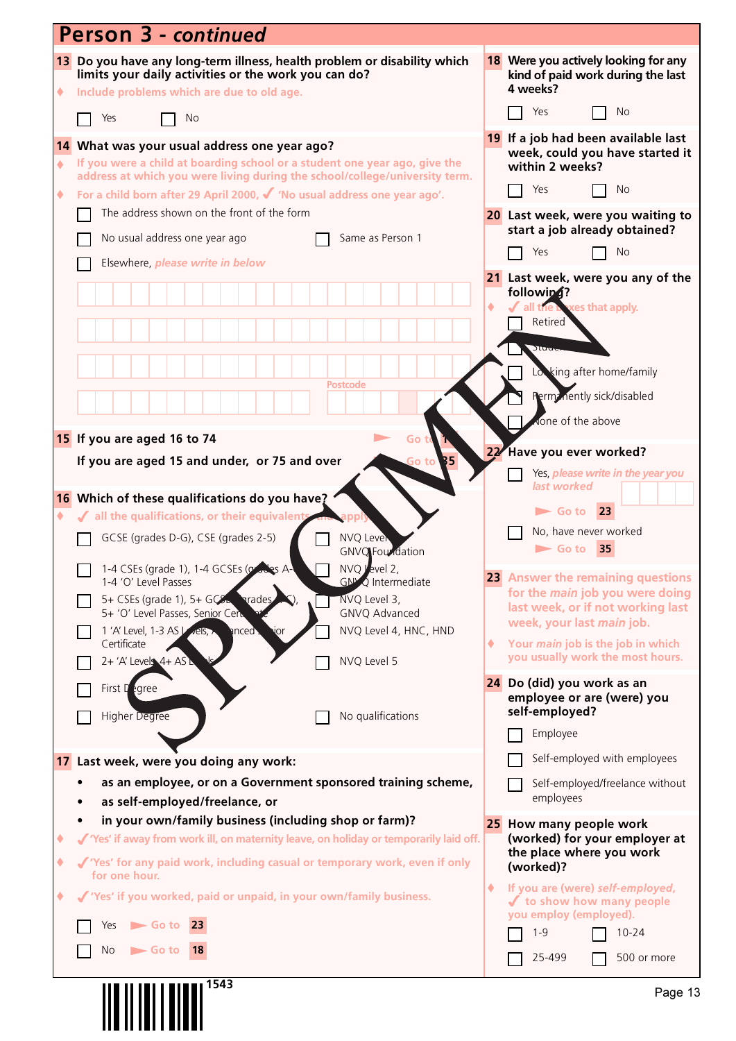|   | <b>Person 3 - continued</b>                                                                                                                                                    |    |                                                                                       |
|---|--------------------------------------------------------------------------------------------------------------------------------------------------------------------------------|----|---------------------------------------------------------------------------------------|
| ۰ | 13 Do you have any long-term illness, health problem or disability which<br>limits your daily activities or the work you can do?<br>Include problems which are due to old age. |    | 18 Were you actively looking for any<br>kind of paid work during the last<br>4 weeks? |
|   | Yes<br>No                                                                                                                                                                      |    | Yes<br>No                                                                             |
|   | 14 What was your usual address one year ago?                                                                                                                                   |    | 19 If a job had been available last<br>week, could you have started it                |
| ٠ | If you were a child at boarding school or a student one year ago, give the<br>address at which you were living during the school/college/university term.                      |    | within 2 weeks?<br>Yes<br>No.                                                         |
| ۰ | For a child born after 29 April 2000, $\checkmark$ 'No usual address one year ago'.<br>The address shown on the front of the form                                              |    |                                                                                       |
|   |                                                                                                                                                                                |    | 20 Last week, were you waiting to<br>start a job already obtained?                    |
|   | No usual address one year ago<br>Same as Person 1                                                                                                                              |    | Yes<br><b>No</b>                                                                      |
|   | Elsewhere, please write in below                                                                                                                                               |    | 21 Last week, were you any of the                                                     |
|   |                                                                                                                                                                                |    | followin4?<br>exes that apply.<br>all the <b>b</b>                                    |
|   |                                                                                                                                                                                |    | Retired                                                                               |
|   |                                                                                                                                                                                |    | Stuut                                                                                 |
|   |                                                                                                                                                                                |    | Lo king after home/family                                                             |
|   | Postcode                                                                                                                                                                       |    | Perm: nently sick/disabled                                                            |
|   |                                                                                                                                                                                |    | None of the above                                                                     |
|   | 15 If you are aged 16 to 74<br>Go t                                                                                                                                            | 22 | Have you ever worked?                                                                 |
|   | If you are aged 15 and under, or 75 and over<br>B5<br>Go to i                                                                                                                  |    | Yes, please write in the year you                                                     |
|   | 16 Which of these qualifications do you have?                                                                                                                                  |    | last worked                                                                           |
| ۰ | √ all the qualifications, or their equivalent                                                                                                                                  |    | 23<br>$\blacktriangleright$ Go to                                                     |
|   | GCSE (grades D-G), CSE (grades 2-5)<br><b>NVQ Level</b><br><b>GNVQ</b> Foundation                                                                                              |    | No, have never worked<br>35<br>$\blacktriangleright$ Go to                            |
|   | 1-4 CSEs (grade 1), 1-4 GCSEs (grades A-<br>NVQ level 2,<br><b>GN<sup>N</sup>Q</b> Intermediate<br>1-4 'O' Level Passes                                                        |    | 23 Answer the remaining questions                                                     |
|   | NVQ Level 3,<br>5+ CSEs (grade 1), $5+$ GCS<br><b>arades</b><br>5+ 'O' Level Passes, Senior Cen<br>GNVQ Advanced                                                               |    | for the <i>main</i> job you were doing<br>last week, or if not working last           |
|   | NVQ Level 4, HNC, HND<br>1 'A' Level, 1-3 AS Vels,<br>$n$ ced $\cdot$<br>JOr                                                                                                   |    | week, your last main job.                                                             |
|   | Certificate<br>NVQ Level 5<br>$2 + 'A'$ Levels $4 + AS$                                                                                                                        | ۰  | Your main job is the job in which<br>you usually work the most hours.                 |
|   | First $\Gamma$ egree                                                                                                                                                           |    | 24 Do (did) you work as an                                                            |
|   |                                                                                                                                                                                |    | employee or are (were) you<br>self-employed?                                          |
|   | No qualifications<br><b>Higher Degree</b>                                                                                                                                      |    | Employee                                                                              |
|   | 17 Last week, were you doing any work:                                                                                                                                         |    | Self-employed with employees                                                          |
|   | as an employee, or on a Government sponsored training scheme,                                                                                                                  |    | Self-employed/freelance without                                                       |
|   | as self-employed/freelance, or                                                                                                                                                 |    | employees                                                                             |
|   | in your own/family business (including shop or farm)?                                                                                                                          |    | 25 How many people work                                                               |
| ٠ | √ 'Yes' if away from work ill, on maternity leave, on holiday or temporarily laid off.                                                                                         |    | (worked) for your employer at<br>the place where you work                             |
| ٠ | √ 'Yes' for any paid work, including casual or temporary work, even if only<br>for one hour.                                                                                   |    | (worked)?                                                                             |
| ٠ | √ 'Yes' if you worked, paid or unpaid, in your own/family business.                                                                                                            | ۰  | If you are (were) self-employed,<br>✔ to show how many people                         |
|   | $\blacktriangleright$ Go to 23<br>Yes                                                                                                                                          |    | you employ (employed).<br>$1 - 9$<br>$10 - 24$                                        |
|   | No<br>$\blacktriangleright$ Go to<br><b>18</b>                                                                                                                                 |    | 25-499<br>500 or more                                                                 |
|   |                                                                                                                                                                                |    |                                                                                       |
|   | 1543                                                                                                                                                                           |    | Page 13                                                                               |
|   |                                                                                                                                                                                |    |                                                                                       |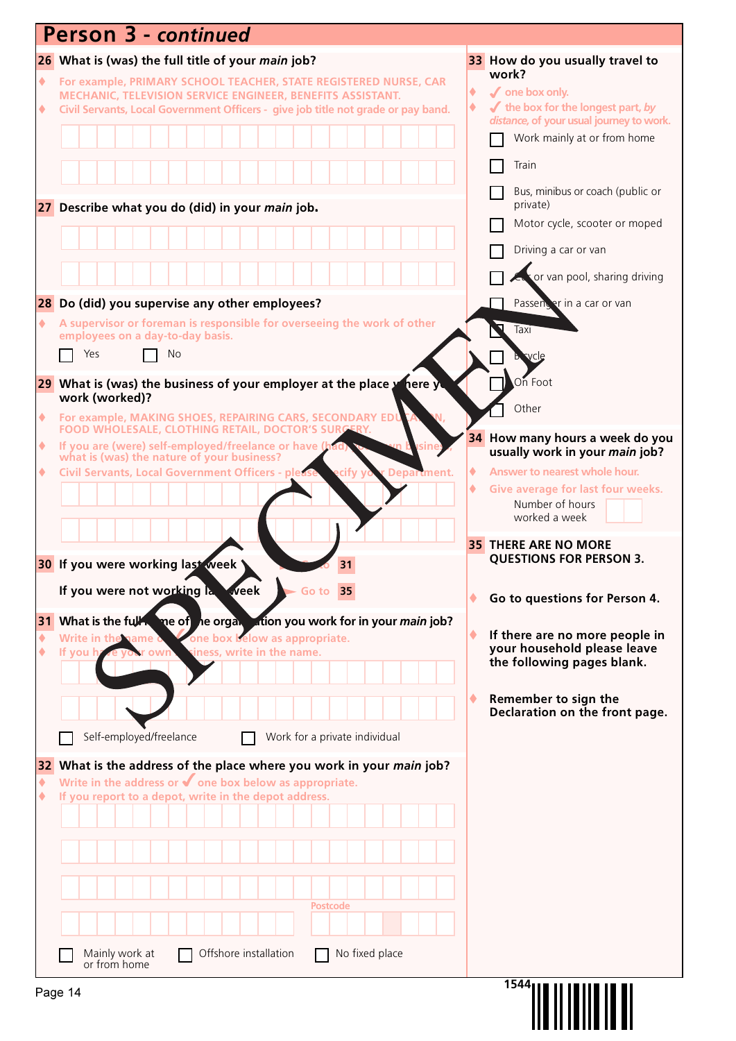| <b>Person 3 - continued</b>                                                                                                                       |                                                                              |
|---------------------------------------------------------------------------------------------------------------------------------------------------|------------------------------------------------------------------------------|
| 26 What is (was) the full title of your main job?                                                                                                 | 33 How do you usually travel to                                              |
| $\blacklozenge$<br>For example, PRIMARY SCHOOL TEACHER, STATE REGISTERED NURSE, CAR<br>MECHANIC, TELEVISION SERVICE ENGINEER, BENEFITS ASSISTANT. | work?<br>$\sqrt{\ }$ one box only.<br>٠                                      |
| Civil Servants, Local Government Officers - give job title not grade or pay band.<br>۰                                                            | $\blacktriangleright$ the box for the longest part, by                       |
|                                                                                                                                                   | distance, of your usual journey to work.<br>Work mainly at or from home      |
|                                                                                                                                                   | Train                                                                        |
|                                                                                                                                                   | Bus, minibus or coach (public or                                             |
| 27 Describe what you do (did) in your main job.                                                                                                   | private)                                                                     |
|                                                                                                                                                   | Motor cycle, scooter or moped                                                |
|                                                                                                                                                   | Driving a car or van                                                         |
|                                                                                                                                                   | cas or van pool, sharing driving                                             |
| 28 Do (did) you supervise any other employees?                                                                                                    | Passencer in a car or van                                                    |
| A supervisor or foreman is responsible for overseeing the work of other<br>۰<br>employees on a day-to-day basis.                                  | Taxi                                                                         |
| Yes<br>No                                                                                                                                         |                                                                              |
| 29 What is (was) the business of your employer at the place y<br>here yu                                                                          | ⊾On≀Foot                                                                     |
| work (worked)?<br>For example, MAKING SHOES, REPAIRING CARS, SECONDARY ED<br>۰                                                                    | Other                                                                        |
| FOOD WHOLESALE, CLOTHING RETAIL, DOCTOR'S SURGERY.                                                                                                | 34 How many hours a week do you                                              |
| If you are (were) self-employed/freelance or have (has what is (was) the nature of your business?<br>۰                                            | usually work in your main job?                                               |
| ecify y<br><b>Civil Servants, Local Government Officers - please</b><br>r Department.<br>۰                                                        | Answer to nearest whole hour.<br>٠<br>Give average for last four weeks.<br>٠ |
|                                                                                                                                                   | Number of hours<br>worked a week                                             |
|                                                                                                                                                   | <b>35 THERE ARE NO MORE</b>                                                  |
| 30 If you were working last week<br>31                                                                                                            | <b>QUESTIONS FOR PERSON 3.</b>                                               |
| If you were not working la<br><b>week</b><br>Go to 35                                                                                             |                                                                              |
|                                                                                                                                                   | Go to questions for Person 4.<br>٠                                           |
| What is the full the me of the organ ation you work for in your main job?<br>31<br>one box below as appropriate.<br>Write in the name of<br>٠     | If there are no more people in                                               |
| iness, write in the name.<br>٠<br>If you h<br>own                                                                                                 | your household please leave<br>the following pages blank.                    |
|                                                                                                                                                   |                                                                              |
|                                                                                                                                                   | Remember to sign the<br>٠<br>Declaration on the front page.                  |
| Self-employed/freelance<br>Work for a private individual                                                                                          |                                                                              |
| What is the address of the place where you work in your main job?<br>32                                                                           |                                                                              |
| Write in the address or $\blacklozenge$ one box below as appropriate.<br>٠<br>If you report to a depot, write in the depot address.<br>۰          |                                                                              |
|                                                                                                                                                   |                                                                              |
|                                                                                                                                                   |                                                                              |
|                                                                                                                                                   |                                                                              |
|                                                                                                                                                   |                                                                              |
| <b>Postcode</b>                                                                                                                                   |                                                                              |
|                                                                                                                                                   |                                                                              |
| Mainly work at<br>Offshore installation<br>No fixed place                                                                                         |                                                                              |
| or from home                                                                                                                                      |                                                                              |
| Page 14                                                                                                                                           | 1544                                                                         |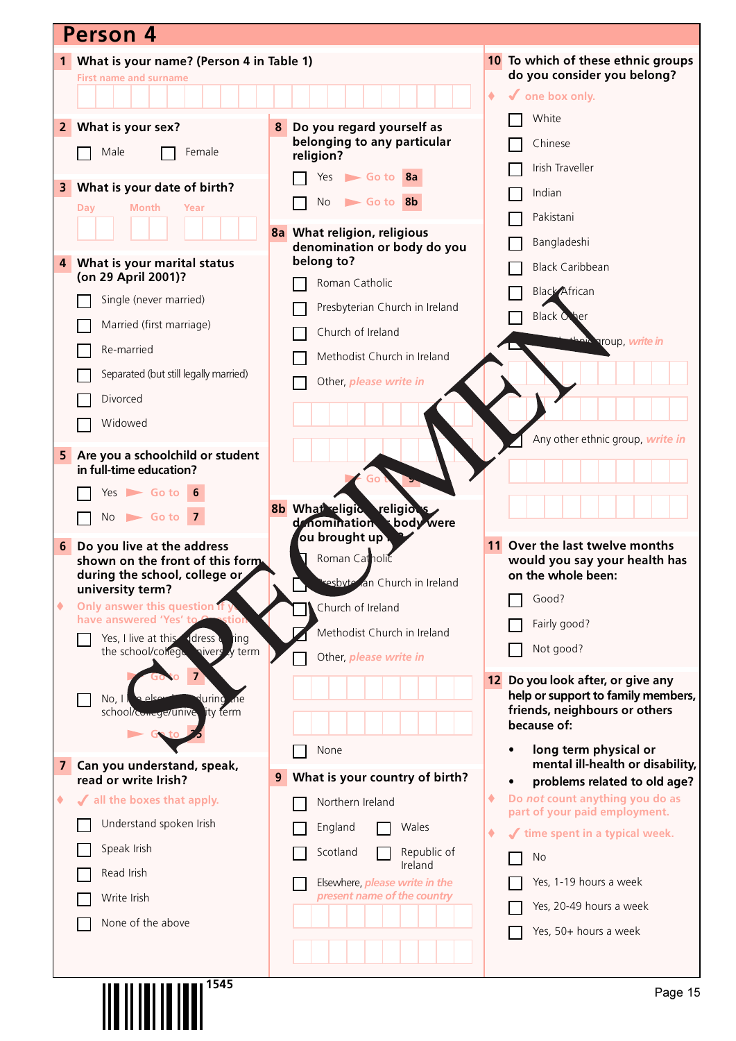|                | Person 4                                                                    |                                                       |                 |                                                                  |
|----------------|-----------------------------------------------------------------------------|-------------------------------------------------------|-----------------|------------------------------------------------------------------|
|                | 1 What is your name? (Person 4 in Table 1)                                  |                                                       |                 | 10 To which of these ethnic groups                               |
|                | <b>First name and surname</b>                                               |                                                       |                 | do you consider you belong?                                      |
|                |                                                                             |                                                       | $\blacklozenge$ | $\checkmark$ one box only.                                       |
| $\overline{2}$ | What is your sex?                                                           | Do you regard yourself as<br>8                        |                 | White                                                            |
|                | Male<br>Female                                                              | belonging to any particular<br>religion?              |                 | Chinese<br>Irish Traveller                                       |
| 3              | What is your date of birth?                                                 | $Yes$ Go to $8a$                                      |                 |                                                                  |
|                | Month<br>Year<br>Day                                                        | <b>No</b><br>Go to 8b                                 |                 | Indian                                                           |
|                |                                                                             | 8a What religion, religious                           |                 | Pakistani                                                        |
|                |                                                                             | denomination or body do you                           |                 | Bangladeshi                                                      |
| 4              | What is your marital status<br>(on 29 April 2001)?                          | belong to?                                            |                 | <b>Black Caribbean</b>                                           |
|                |                                                                             | Roman Catholic                                        |                 | <b>Black African</b>                                             |
|                | Single (never married)                                                      | Presbyterian Church in Ireland                        |                 | <b>Black Other</b>                                               |
|                | Married (first marriage)                                                    | Church of Ireland                                     |                 | an <sup>i</sup> aroup, write in                                  |
|                | Re-married                                                                  | Methodist Church in Ireland                           |                 |                                                                  |
|                | Separated (but still legally married)                                       | Other, please write in                                |                 |                                                                  |
|                | Divorced                                                                    |                                                       |                 |                                                                  |
|                | Widowed                                                                     |                                                       |                 |                                                                  |
| 5              | Are you a schoolchild or student                                            |                                                       |                 | Any other ethnic group, write in                                 |
|                | in full-time education?                                                     |                                                       |                 |                                                                  |
|                | $Yes$ Go to 6                                                               |                                                       |                 |                                                                  |
|                | $No \rightharpoonup Go$ to 7                                                | 8b What eligic religions<br>body were<br>denomination |                 |                                                                  |
| 6              | Do you live at the address                                                  | ou brought up .                                       |                 | Over the last twelve months                                      |
|                | shown on the front of this form.                                            | Roman Catholic                                        |                 | would you say your health has                                    |
|                | during the school, college or<br>university term?                           | resbyte an Church in Ireland                          |                 | on the whole been:                                               |
| ۰              | Only answer this question if y                                              | Church of Ireland                                     |                 | Good?                                                            |
|                | have answered 'Yes' to<br>tior                                              | Methodist Church in Ireland                           |                 | Fairly good?                                                     |
|                | ddress d<br>Yes, I live at this<br>ting<br>the school/college nivers y term | Other, please write in                                |                 | Not good?                                                        |
|                |                                                                             |                                                       | 12              | Do you look after, or give any                                   |
|                | معام ۾<br>No, 1<br>lurinò<br>Lne.                                           |                                                       |                 | help or support to family members,                               |
|                | lity term<br>school/comege/unive                                            |                                                       |                 | friends, neighbours or others<br>because of:                     |
|                |                                                                             | None                                                  |                 | long term physical or                                            |
| 7              | Can you understand, speak,                                                  |                                                       |                 | mental ill-health or disability,                                 |
|                | read or write Irish?                                                        | What is your country of birth?<br>9                   |                 | problems related to old age?                                     |
| ۰              | √ all the boxes that apply.                                                 | Northern Ireland                                      | ۰               | Do not count anything you do as<br>part of your paid employment. |
|                | Understand spoken Irish                                                     | England<br>Wales                                      | ۰               | time spent in a typical week.                                    |
|                | Speak Irish                                                                 | Republic of<br>Scotland                               |                 | <b>No</b>                                                        |
|                | Read Irish                                                                  | Ireland<br>Elsewhere, <i>please write in the</i>      |                 | Yes, 1-19 hours a week                                           |
|                | Write Irish                                                                 | present name of the country                           |                 | Yes, 20-49 hours a week                                          |
|                | None of the above                                                           |                                                       |                 | Yes, 50+ hours a week                                            |
|                |                                                                             |                                                       |                 |                                                                  |
|                |                                                                             |                                                       |                 |                                                                  |
|                | <b>III IIIIIIIIIIIII</b> I <sup>1545</sup>                                  |                                                       |                 |                                                                  |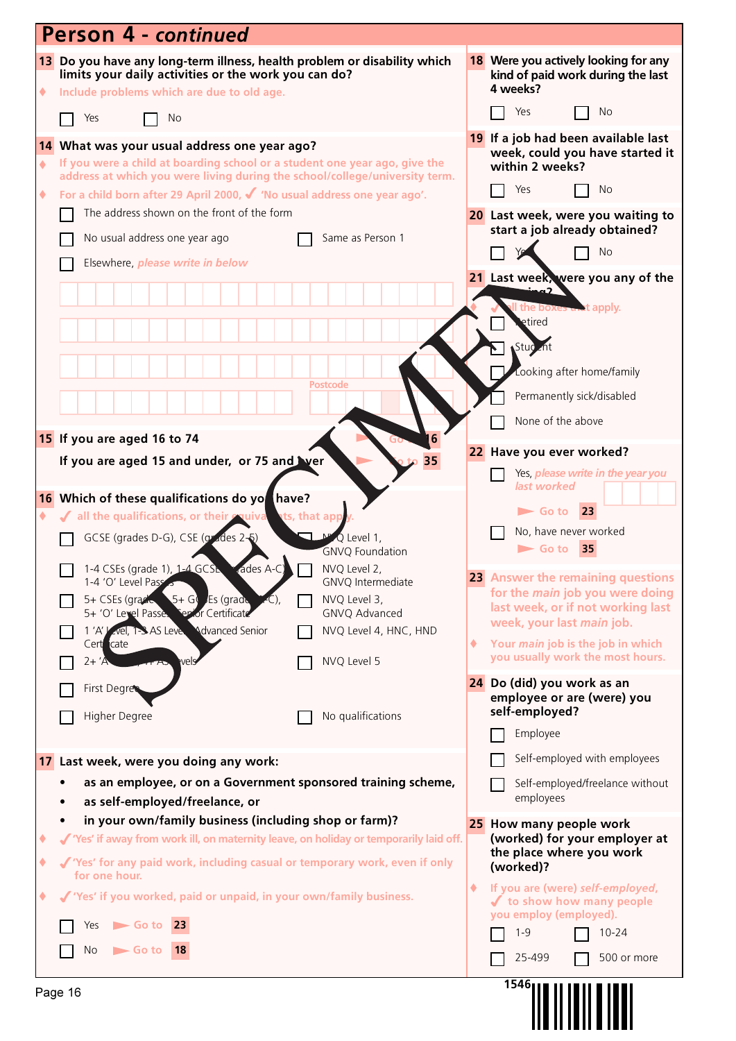|        | <b>Person 4 - continued</b>                                                                                                                                                                                                                                                                                                                            |   |                                                                                                                                                                                                                                    |
|--------|--------------------------------------------------------------------------------------------------------------------------------------------------------------------------------------------------------------------------------------------------------------------------------------------------------------------------------------------------------|---|------------------------------------------------------------------------------------------------------------------------------------------------------------------------------------------------------------------------------------|
| ٠      | 13 Do you have any long-term illness, health problem or disability which<br>limits your daily activities or the work you can do?<br>Include problems which are due to old age.                                                                                                                                                                         |   | 18 Were you actively looking for any<br>kind of paid work during the last<br>4 weeks?                                                                                                                                              |
|        | Yes<br>No                                                                                                                                                                                                                                                                                                                                              |   | No<br>Yes                                                                                                                                                                                                                          |
| ٠      | 14 What was your usual address one year ago?<br>If you were a child at boarding school or a student one year ago, give the<br>address at which you were living during the school/college/university term.                                                                                                                                              |   | 19 If a job had been available last<br>week, could you have started it<br>within 2 weeks?<br>Yes<br>No.                                                                                                                            |
| ۰      | For a child born after 29 April 2000, √ 'No usual address one year ago'.<br>The address shown on the front of the form                                                                                                                                                                                                                                 |   |                                                                                                                                                                                                                                    |
|        | No usual address one year ago<br>Same as Person 1                                                                                                                                                                                                                                                                                                      |   | 20 Last week, were you waiting to<br>start a job already obtained?                                                                                                                                                                 |
|        | Elsewhere, please write in below                                                                                                                                                                                                                                                                                                                       |   | <b>No</b>                                                                                                                                                                                                                          |
|        | <b>Postcode</b>                                                                                                                                                                                                                                                                                                                                        |   | 21 Last week, were you any of the<br>$-2$<br>the boxes and apply.<br>etired<br>Stud <sub>c</sub> nt<br>Looking after home/family<br>Permanently sick/disabled<br>None of the above                                                 |
|        | 15 If you are aged 16 to 74                                                                                                                                                                                                                                                                                                                            |   | 22 Have you ever worked?                                                                                                                                                                                                           |
|        | If you are aged 15 and under, or 75 and Ver<br>35                                                                                                                                                                                                                                                                                                      |   | Yes, <i>please write in the year you</i>                                                                                                                                                                                           |
|        | 16 Which of these qualifications do yo have?<br>If all the qualifications, or their couiva<br>ats, that app<br>GCSE (grades D-G), CSE (grades 2-5)<br>Q Level 1,<br><b>GNVO Foundation</b><br>1-4 CSEs (grade 1), 1-4 GCSL rades A-C)   NVQ Level 2,<br>1-4 'O' Level Pass<br>GNVQ Intermediate<br>$5 + G$ Es (grade<br>5+ CSEs (grade<br>NVQ Level 3, |   | last worked<br>23<br>$\blacktriangleright$ Go to<br>No, have never worked<br>$\blacktriangleright$ Go to<br>35<br>23 Answer the remaining questions<br>for the <i>main</i> job you were doing<br>last week, or if not working last |
|        | 5+ 'O' Level Passe. Terior Certificate<br>GNVQ Advanced<br>1'A' Level, 1-3 AS Leve<br><b>Ndvanced Senior</b><br>NVQ Level 4, HNC, HND                                                                                                                                                                                                                  |   | week, your last main job.                                                                                                                                                                                                          |
|        | Cert cate<br>NVQ Level 5<br>$2+ 'A$<br>vels                                                                                                                                                                                                                                                                                                            | ۰ | Your main job is the job in which<br>you usually work the most hours.                                                                                                                                                              |
|        | First Degre<br>Higher Degree<br>No qualifications                                                                                                                                                                                                                                                                                                      |   | 24 Do (did) you work as an<br>employee or are (were) you<br>self-employed?                                                                                                                                                         |
|        |                                                                                                                                                                                                                                                                                                                                                        |   | Employee                                                                                                                                                                                                                           |
|        | 17 Last week, were you doing any work:                                                                                                                                                                                                                                                                                                                 |   | Self-employed with employees                                                                                                                                                                                                       |
|        | as an employee, or on a Government sponsored training scheme,<br>as self-employed/freelance, or                                                                                                                                                                                                                                                        |   | Self-employed/freelance without<br>employees                                                                                                                                                                                       |
| ٠<br>۰ | in your own/family business (including shop or farm)?<br>√ 'Yes' if away from work ill, on maternity leave, on holiday or temporarily laid off.<br>√ 'Yes' for any paid work, including casual or temporary work, even if only<br>for one hour.                                                                                                        |   | 25 How many people work<br>(worked) for your employer at<br>the place where you work<br>(worked)?                                                                                                                                  |
| ٠      | √ 'Yes' if you worked, paid or unpaid, in your own/family business.                                                                                                                                                                                                                                                                                    | ۰ | If you are (were) self-employed,<br>✔ to show how many people<br>you employ (employed).                                                                                                                                            |
|        | $\blacktriangleright$ Go to 23<br>Yes                                                                                                                                                                                                                                                                                                                  |   | $1 - 9$<br>$10 - 24$                                                                                                                                                                                                               |
|        | No<br>$\blacktriangleright$ Go to<br><b>18</b>                                                                                                                                                                                                                                                                                                         |   | 25-499<br>500 or more                                                                                                                                                                                                              |
|        | Page 16                                                                                                                                                                                                                                                                                                                                                |   | 1546                                                                                                                                                                                                                               |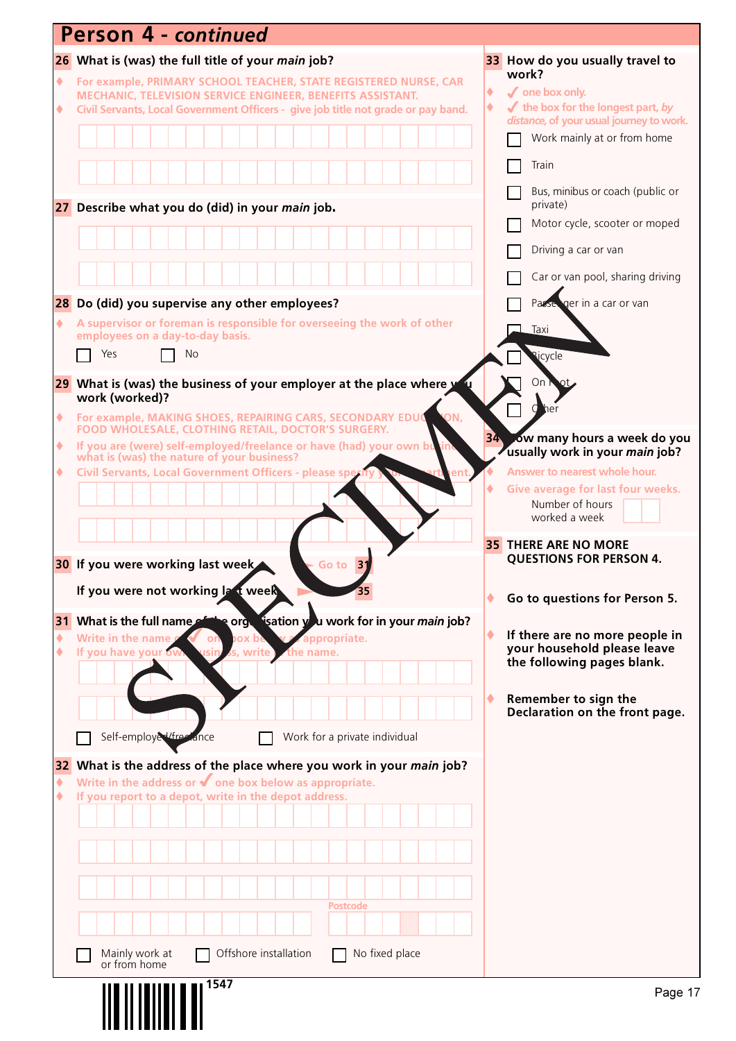|                      | Person 4 - continued                                                                                                                                                                                                |        |                                                                                                        |
|----------------------|---------------------------------------------------------------------------------------------------------------------------------------------------------------------------------------------------------------------|--------|--------------------------------------------------------------------------------------------------------|
|                      | 26 What is (was) the full title of your <i>main</i> job?                                                                                                                                                            |        | 33 How do you usually travel to                                                                        |
| $\blacklozenge$<br>۰ | For example, PRIMARY SCHOOL TEACHER, STATE REGISTERED NURSE, CAR<br>MECHANIC, TELEVISION SERVICE ENGINEER, BENEFITS ASSISTANT.<br>Civil Servants, Local Government Officers - give job title not grade or pay band. | ٠<br>۰ | work?<br>$\sqrt{\ }$ one box only.<br>$\blacktriangleright$ the box for the longest part, by           |
|                      |                                                                                                                                                                                                                     |        | distance, of your usual journey to work.<br>Work mainly at or from home                                |
|                      |                                                                                                                                                                                                                     |        | Train                                                                                                  |
|                      | 27 Describe what you do (did) in your main job.                                                                                                                                                                     |        | Bus, minibus or coach (public or<br>private)                                                           |
|                      |                                                                                                                                                                                                                     |        | Motor cycle, scooter or moped                                                                          |
|                      |                                                                                                                                                                                                                     |        | Driving a car or van                                                                                   |
|                      |                                                                                                                                                                                                                     |        | Car or van pool, sharing driving                                                                       |
|                      | 28 Do (did) you supervise any other employees?                                                                                                                                                                      |        | ger in a car or van<br>Passe                                                                           |
| ۰                    | A supervisor or foreman is responsible for overseeing the work of other<br>employees on a day-to-day basis.<br>Yes<br>No                                                                                            |        | Taxi<br><b>Ricycle</b>                                                                                 |
|                      |                                                                                                                                                                                                                     |        |                                                                                                        |
|                      | 29 What is (was) the business of your employer at the place where y<br>work (worked)?                                                                                                                               |        | On.                                                                                                    |
| ۰                    | ON,<br>For example, MAKING SHOES, REPAIRING CARS, SECONDARY EDUC<br>FOOD WHOLESALE, CLOTHING RETAIL, DOCTOR'S SURGERY.                                                                                              |        |                                                                                                        |
| ۰                    | If you are (were) self-employed/freelance or have (had) your own bu<br>what is (was) the nature of your business?                                                                                                   |        | 34 ow many hours a week do you<br>usually work in your main job?                                       |
| ۰                    | Civil Servants, Local Government Officers - please sper                                                                                                                                                             |        | Answer to nearest whole hour.<br>Give average for last four weeks.<br>Number of hours<br>worked a week |
|                      | 30 If you were working last week<br>31<br>Go to                                                                                                                                                                     |        | <b>35 THERE ARE NO MORE</b><br><b>QUESTIONS FOR PERSON 4.</b>                                          |
|                      | If you were not working Ia t week                                                                                                                                                                                   |        | Go to questions for Person 5.                                                                          |
| ٠<br>٠               | 31 What is the full name of the orgetication you work for in your main job?<br>Write in the name<br>v zappropriate.<br>ox be<br>on<br>If you have your ow<br>s, write<br>the name.                                  |        | If there are no more people in<br>your household please leave<br>the following pages blank.            |
|                      |                                                                                                                                                                                                                     | ٠      | Remember to sign the<br>Declaration on the front page.                                                 |
|                      | Self-employed/free ance<br>Work for a private individual                                                                                                                                                            |        |                                                                                                        |
| 32<br>٠              | What is the address of the place where you work in your main job?<br>Write in the address or $\blacklozenge$ one box below as appropriate.<br>If you report to a depot, write in the depot address.                 |        |                                                                                                        |
|                      |                                                                                                                                                                                                                     |        |                                                                                                        |
|                      |                                                                                                                                                                                                                     |        |                                                                                                        |
|                      |                                                                                                                                                                                                                     |        |                                                                                                        |
|                      | <b>Postcode</b>                                                                                                                                                                                                     |        |                                                                                                        |
|                      | Offshore installation<br>No fixed place<br>Mainly work at<br>or from home                                                                                                                                           |        |                                                                                                        |
|                      | 1547                                                                                                                                                                                                                |        | Page 17                                                                                                |
|                      |                                                                                                                                                                                                                     |        |                                                                                                        |
|                      |                                                                                                                                                                                                                     |        |                                                                                                        |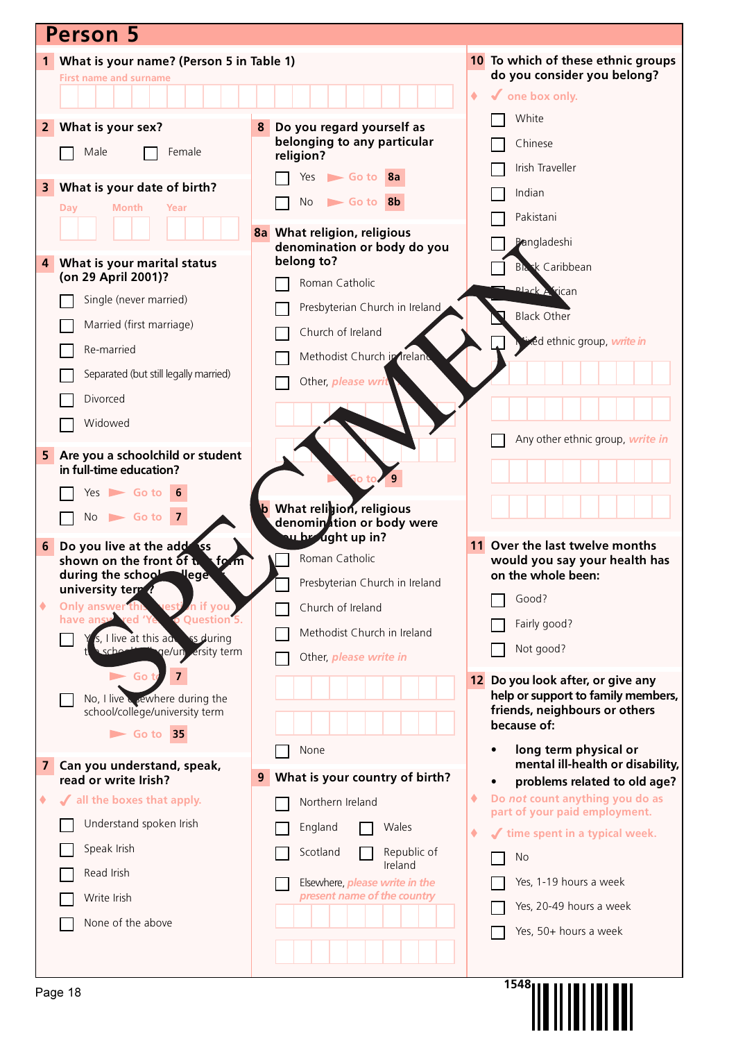| <b>Person 5</b>                                                                  |                                                            |                                                                         |  |  |  |  |
|----------------------------------------------------------------------------------|------------------------------------------------------------|-------------------------------------------------------------------------|--|--|--|--|
| What is your name? (Person 5 in Table 1)<br>1                                    |                                                            | 10 To which of these ethnic groups                                      |  |  |  |  |
| <b>First name and surname</b>                                                    |                                                            | do you consider you belong?                                             |  |  |  |  |
|                                                                                  |                                                            | $\checkmark$ one box only.<br>٠                                         |  |  |  |  |
| What is your sex?<br>2 <sup>1</sup>                                              | Do you regard yourself as<br>8                             | White                                                                   |  |  |  |  |
| Male<br>Female                                                                   | belonging to any particular<br>religion?                   | Chinese                                                                 |  |  |  |  |
|                                                                                  | Go to 8a<br>Yes                                            | Irish Traveller                                                         |  |  |  |  |
| What is your date of birth?<br>3<br><b>Month</b><br>Day<br>Year                  | Go to 8b<br><b>No</b>                                      | Indian                                                                  |  |  |  |  |
|                                                                                  |                                                            | Pakistani                                                               |  |  |  |  |
|                                                                                  | 8a What religion, religious<br>denomination or body do you | Pangladeshi                                                             |  |  |  |  |
| What is your marital status<br>$\overline{4}$<br>(on 29 April 2001)?             | belong to?                                                 | <b>Black Caribbean</b>                                                  |  |  |  |  |
| Single (never married)                                                           | Roman Catholic                                             | <b>Plack Arrican</b>                                                    |  |  |  |  |
|                                                                                  | Presbyterian Church in Ireland                             | <b>Black Other</b>                                                      |  |  |  |  |
| Married (first marriage)                                                         | Church of Ireland                                          | Nived ethnic group, write in                                            |  |  |  |  |
| Re-married                                                                       | Methodist Church in Ireland                                |                                                                         |  |  |  |  |
| Separated (but still legally married)                                            | Other, please writ                                         |                                                                         |  |  |  |  |
| Divorced                                                                         |                                                            |                                                                         |  |  |  |  |
| Widowed                                                                          |                                                            |                                                                         |  |  |  |  |
| Are you a schoolchild or student<br>5 <sub>1</sub>                               |                                                            | Any other ethnic group, write in                                        |  |  |  |  |
| in full-time education?                                                          | o to                                                       |                                                                         |  |  |  |  |
| $Yes \frown Go$ to                                                               | <b>b</b> What religion, religious                          |                                                                         |  |  |  |  |
| $No \rightharpoonup Go$ to 7                                                     | denomination or body were                                  |                                                                         |  |  |  |  |
| Do you live at the addess<br>6                                                   | u brught up in?                                            | 11 Over the last twelve months                                          |  |  |  |  |
| shown on the front of the<br>form<br>during the school lege                      | Roman Catholic                                             | would you say your health has<br>on the whole been:                     |  |  |  |  |
| university term?                                                                 | Presbyterian Church in Ireland                             | Good?                                                                   |  |  |  |  |
| Only answer this<br>n if you<br>٠<br><b>o</b> Question 5.<br>red 'Y<br>have answ | Church of Ireland                                          | Fairly good?                                                            |  |  |  |  |
| s, I live at this addess during                                                  | Methodist Church in Ireland                                | Not good?                                                               |  |  |  |  |
| ge/un ersity term                                                                | Other, please write in                                     |                                                                         |  |  |  |  |
| $\blacktriangleright$ Go                                                         |                                                            | 12 Do you look after, or give any<br>help or support to family members, |  |  |  |  |
| No, I live coewhere during the<br>school/college/university term                 |                                                            | friends, neighbours or others                                           |  |  |  |  |
| $\triangleright$ Go to 35                                                        |                                                            | because of:                                                             |  |  |  |  |
| Can you understand, speak,<br>$\mathbf{7}$                                       | None                                                       | long term physical or<br>mental ill-health or disability,               |  |  |  |  |
| read or write Irish?                                                             | What is your country of birth?<br>9                        | problems related to old age?<br>$\bullet$                               |  |  |  |  |
| If all the boxes that apply.<br>٠                                                | Northern Ireland                                           | Do not count anything you do as<br>٠<br>part of your paid employment.   |  |  |  |  |
| Understand spoken Irish                                                          | England<br>Wales                                           | time spent in a typical week.<br>۰                                      |  |  |  |  |
| Speak Irish                                                                      | Scotland<br>Republic of<br>Ireland                         | No                                                                      |  |  |  |  |
| Read Irish                                                                       | Elsewhere, <i>please write in the</i>                      | Yes, 1-19 hours a week                                                  |  |  |  |  |
| Write Irish                                                                      | present name of the country                                | Yes, 20-49 hours a week                                                 |  |  |  |  |
| None of the above                                                                |                                                            | Yes, 50+ hours a week                                                   |  |  |  |  |
|                                                                                  |                                                            |                                                                         |  |  |  |  |
|                                                                                  |                                                            | 1548 <sub>1</sub>                                                       |  |  |  |  |
| Page 18                                                                          |                                                            |                                                                         |  |  |  |  |
|                                                                                  |                                                            |                                                                         |  |  |  |  |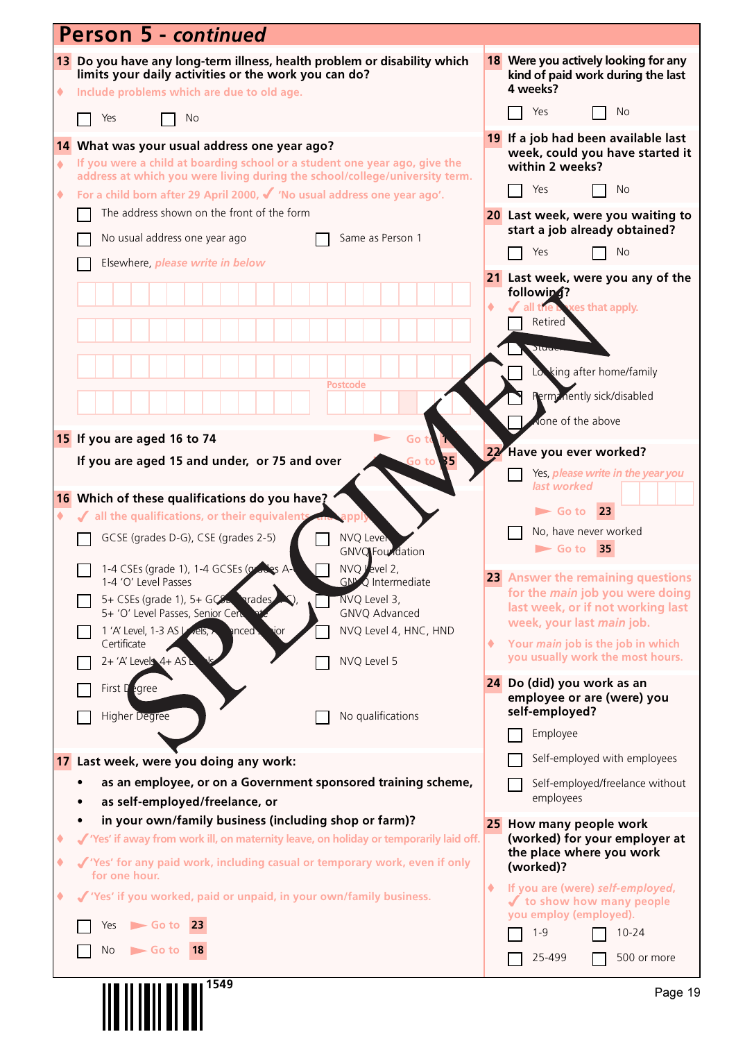|              | <b>Person 5 - continued</b>                                                                                                                                                    |    |                                                                                       |
|--------------|--------------------------------------------------------------------------------------------------------------------------------------------------------------------------------|----|---------------------------------------------------------------------------------------|
| ٠            | 13 Do you have any long-term illness, health problem or disability which<br>limits your daily activities or the work you can do?<br>Include problems which are due to old age. |    | 18 Were you actively looking for any<br>kind of paid work during the last<br>4 weeks? |
|              | Yes<br>No                                                                                                                                                                      |    | Yes<br>No                                                                             |
|              | 14 What was your usual address one year ago?                                                                                                                                   |    | 19 If a job had been available last<br>week, could you have started it                |
| $\spadesuit$ | If you were a child at boarding school or a student one year ago, give the<br>address at which you were living during the school/college/university term.                      |    | within 2 weeks?                                                                       |
| ٠            | For a child born after 29 April 2000, $\checkmark$ 'No usual address one year ago'.                                                                                            |    | Yes<br>No                                                                             |
|              | The address shown on the front of the form                                                                                                                                     |    | 20 Last week, were you waiting to<br>start a job already obtained?                    |
|              | No usual address one year ago<br>Same as Person 1                                                                                                                              |    | Yes<br><b>No</b>                                                                      |
|              | Elsewhere, please write in below                                                                                                                                               |    | 21 Last week, were you any of the                                                     |
|              |                                                                                                                                                                                |    | followin4?<br>ves that apply.<br>all the L                                            |
|              |                                                                                                                                                                                |    | Retired                                                                               |
|              |                                                                                                                                                                                |    | Stude                                                                                 |
|              | <b>Postcode</b>                                                                                                                                                                |    | Lowking after home/family                                                             |
|              |                                                                                                                                                                                |    | Perm: nently sick/disabled                                                            |
|              | 15 If you are aged 16 to 74<br>Go                                                                                                                                              |    | None of the above                                                                     |
|              | If you are aged 15 and under, or 75 and over<br>B5<br>Go tol                                                                                                                   | 22 | Have you ever worked?                                                                 |
|              |                                                                                                                                                                                |    | Yes, please write in the year you<br>last worked                                      |
| ۰            | 16 Which of these qualifications do you have?<br>√ all the qualifications, or their equivalent                                                                                 |    | 23<br>$\blacktriangleright$ Go to                                                     |
|              | GCSE (grades D-G), CSE (grades 2-5)<br><b>NVQ Lever</b><br><b>GNVQ</b> Foundation                                                                                              |    | No, have never worked<br>$\blacktriangleright$ Go to<br>35                            |
|              | NVQ Jevel 2,<br>1-4 CSEs (grade 1), 1-4 GCSEs (or alles A-<br><b>GN<sup>N</sup>Q</b> Intermediate<br>1-4 'O' Level Passes                                                      |    | 23 Answer the remaining questions                                                     |
|              | NVQ Level 3,<br>5+ CSEs (grade 1), 5+ $GCE$<br><b>prades</b><br>5+ 'O' Level Passes, Senior Cert<br>GNVQ Advanced                                                              |    | for the <i>main</i> job you were doing<br>last week, or if not working last           |
|              | NVQ Level 4, HNC, HND<br>1 'A' Level, 1-3 AS Vels,<br>anced .<br>vor                                                                                                           |    | week, your last main job.                                                             |
|              | Certificate<br>NVQ Level 5<br>$2 + 'A'$ Levels $4 + AS$                                                                                                                        | ۰  | Your main job is the job in which<br>you usually work the most hours.                 |
|              | First $\Gamma$ egree                                                                                                                                                           |    | 24 Do (did) you work as an                                                            |
|              | No qualifications<br>Higher Degree                                                                                                                                             |    | employee or are (were) you<br>self-employed?                                          |
|              |                                                                                                                                                                                |    | Employee                                                                              |
|              | 17 Last week, were you doing any work:                                                                                                                                         |    | Self-employed with employees                                                          |
|              | as an employee, or on a Government sponsored training scheme,<br>as self-employed/freelance, or                                                                                |    | Self-employed/freelance without<br>employees                                          |
|              | in your own/family business (including shop or farm)?                                                                                                                          |    | 25 How many people work                                                               |
| ٠            | √ 'Yes' if away from work ill, on maternity leave, on holiday or temporarily laid off.                                                                                         |    | (worked) for your employer at<br>the place where you work                             |
| ۰            | √ 'Yes' for any paid work, including casual or temporary work, even if only<br>for one hour.                                                                                   |    | (worked)?                                                                             |
| ٠            | √ 'Yes' if you worked, paid or unpaid, in your own/family business.                                                                                                            | ۰  | If you are (were) self-employed,<br>✔ to show how many people                         |
|              | $\blacktriangleright$ Go to 23<br>Yes                                                                                                                                          |    | you employ (employed).<br>$1 - 9$<br>$10 - 24$                                        |
|              | No<br>$\blacktriangleright$ Go to<br>18                                                                                                                                        |    | 25-499<br>500 or more                                                                 |
|              | 1549                                                                                                                                                                           |    |                                                                                       |
|              |                                                                                                                                                                                |    | Page 19                                                                               |
|              |                                                                                                                                                                                |    |                                                                                       |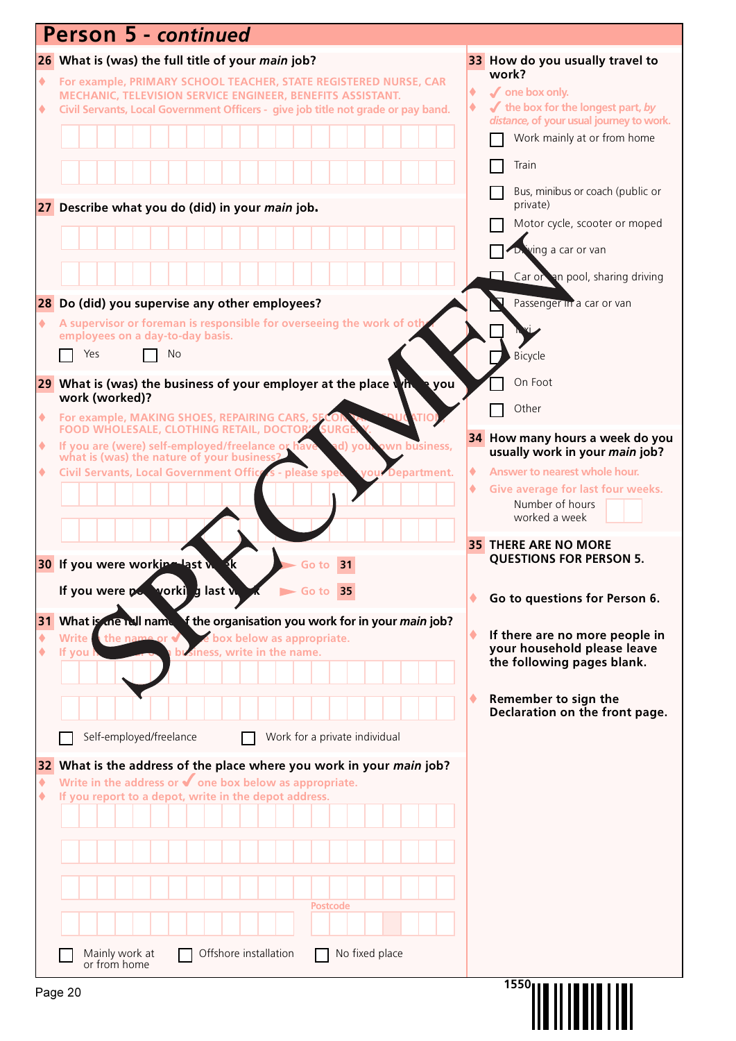|                 | <b>Person 5 - continued</b>                                                                                                                                              |                                                                                                         |
|-----------------|--------------------------------------------------------------------------------------------------------------------------------------------------------------------------|---------------------------------------------------------------------------------------------------------|
|                 | 26 What is (was) the full title of your main job?                                                                                                                        | 33 How do you usually travel to                                                                         |
| ٠               | For example, PRIMARY SCHOOL TEACHER, STATE REGISTERED NURSE, CAR<br>MECHANIC, TELEVISION SERVICE ENGINEER, BENEFITS ASSISTANT.                                           | work?<br>✔ one box only.<br>٠                                                                           |
| ۰               | Civil Servants, Local Government Officers - give job title not grade or pay band.                                                                                        | $\blacktriangleright$ the box for the longest part, by<br>٠<br>distance, of your usual journey to work. |
|                 |                                                                                                                                                                          | Work mainly at or from home                                                                             |
|                 |                                                                                                                                                                          | Train                                                                                                   |
|                 |                                                                                                                                                                          | Bus, minibus or coach (public or                                                                        |
|                 | 27 Describe what you do (did) in your main job.                                                                                                                          | private)                                                                                                |
|                 |                                                                                                                                                                          | Motor cycle, scooter or moped                                                                           |
|                 |                                                                                                                                                                          | ving a car or van                                                                                       |
|                 |                                                                                                                                                                          | Car or an pool, sharing driving                                                                         |
| $\blacklozenge$ | 28 Do (did) you supervise any other employees?<br>A supervisor or foreman is responsible for overseeing the work of oth                                                  | Passenger in a car or van                                                                               |
|                 | employees on a day-to-day basis.                                                                                                                                         |                                                                                                         |
|                 | Yes<br>No                                                                                                                                                                | Bicycle                                                                                                 |
|                 | 29 What is (was) the business of your employer at the place $\sqrt{h}$ a you<br>work (worked)?                                                                           | On Foot                                                                                                 |
| ٠               | For example, MAKING SHOES, REPAIRING CARS, SE                                                                                                                            | Other                                                                                                   |
| ۰               | <b>SURG</b><br>FOOD WHOLESALE, CLOTHING RETAIL, DOCTOR!<br>ad) yor<br>wn business,                                                                                       | 34 How many hours a week do you                                                                         |
| ۰               | If you are (were) self-employed/freelance or have<br>what is (was) the nature of your business?<br>Civil Servants, Local Government Office s - please spe<br>Department. | usually work in your main job?<br>۰<br>Answer to nearest whole hour.                                    |
|                 |                                                                                                                                                                          | Give average for last four weeks.<br>۰                                                                  |
|                 |                                                                                                                                                                          | Number of hours<br>worked a week                                                                        |
|                 |                                                                                                                                                                          | <b>35 THERE ARE NO MORE</b>                                                                             |
|                 | <b>30</b> If you were working last w<br>31<br>to                                                                                                                         | <b>QUESTIONS FOR PERSON 5.</b>                                                                          |
|                 | If you were pow yorking last w<br>$\blacktriangleright$ Go to 35                                                                                                         | Go to questions for Person 6.                                                                           |
|                 | 31 What is the rull name of the organisation you work for in your main job?                                                                                              |                                                                                                         |
| ٠               | the name or $\sqrt{}$<br>le box below as appropriate.<br><b>Write</b><br>business, write in the name.<br>If you                                                          | If there are no more people in<br>your household please leave                                           |
|                 |                                                                                                                                                                          | the following pages blank.                                                                              |
|                 |                                                                                                                                                                          | Remember to sign the                                                                                    |
|                 |                                                                                                                                                                          | Declaration on the front page.                                                                          |
|                 | Self-employed/freelance<br>Work for a private individual                                                                                                                 |                                                                                                         |
| 32              | What is the address of the place where you work in your main job?                                                                                                        |                                                                                                         |
| ۰<br>٠          | Write in the address or $\blacklozenge$ one box below as appropriate.<br>If you report to a depot, write in the depot address.                                           |                                                                                                         |
|                 |                                                                                                                                                                          |                                                                                                         |
|                 |                                                                                                                                                                          |                                                                                                         |
|                 |                                                                                                                                                                          |                                                                                                         |
|                 |                                                                                                                                                                          |                                                                                                         |
|                 | <b>Postcode</b>                                                                                                                                                          |                                                                                                         |
|                 | Mainly work at<br>Offshore installation<br>No fixed place                                                                                                                |                                                                                                         |
|                 | or from home                                                                                                                                                             |                                                                                                         |
|                 | Page 20                                                                                                                                                                  | 1550                                                                                                    |
|                 |                                                                                                                                                                          |                                                                                                         |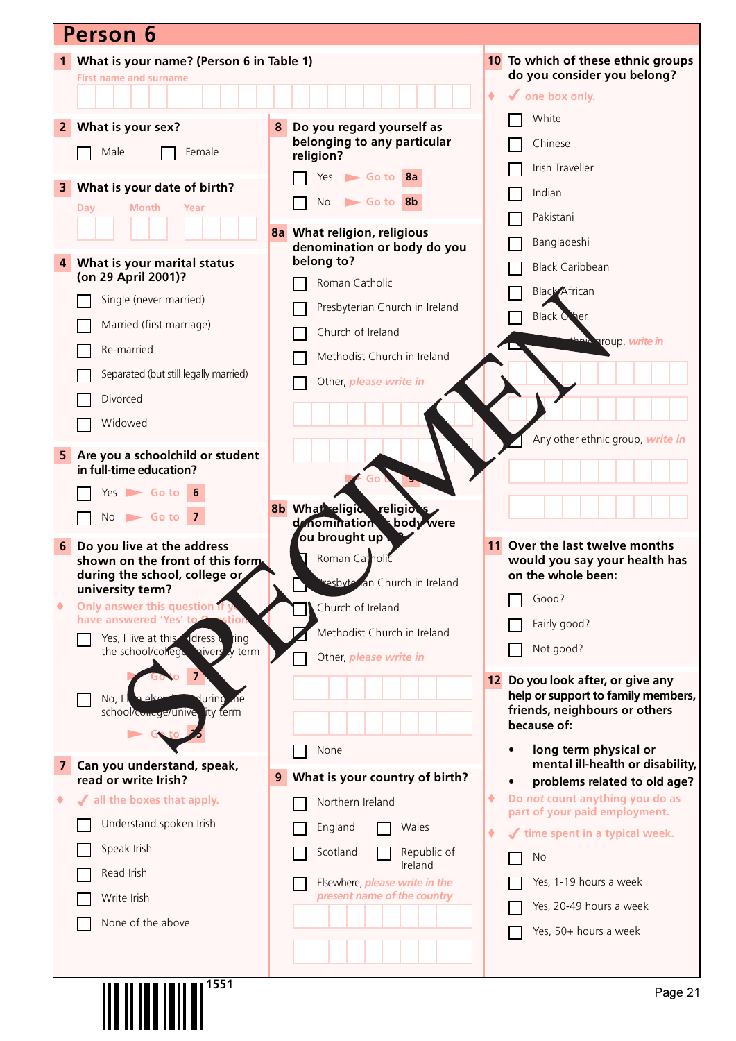|                         | <b>Person 6</b>                                                           |   |                                                                      |                 |                                                                 |
|-------------------------|---------------------------------------------------------------------------|---|----------------------------------------------------------------------|-----------------|-----------------------------------------------------------------|
|                         | 1 What is your name? (Person 6 in Table 1)                                |   |                                                                      |                 | 10 To which of these ethnic groups                              |
|                         | <b>First name and surname</b>                                             |   |                                                                      |                 | do you consider you belong?                                     |
|                         |                                                                           |   |                                                                      | $\blacklozenge$ | $\checkmark$ one box only.                                      |
| $\overline{2}$          | What is your sex?                                                         | 8 | Do you regard yourself as                                            |                 | White                                                           |
|                         | Male<br>Female                                                            |   | belonging to any particular<br>religion?                             |                 | Chinese                                                         |
|                         |                                                                           |   | $Yes$ Go to $8a$                                                     |                 | Irish Traveller                                                 |
| 3                       | What is your date of birth?<br>Month<br>Year                              |   | <b>No</b><br>Go to 8b                                                |                 | Indian                                                          |
|                         | Day                                                                       |   |                                                                      |                 | Pakistani                                                       |
|                         |                                                                           |   | 8a What religion, religious<br>denomination or body do you           |                 | Bangladeshi                                                     |
| 4                       | What is your marital status                                               |   | belong to?                                                           |                 | <b>Black Caribbean</b>                                          |
|                         | (on 29 April 2001)?                                                       |   | Roman Catholic                                                       |                 | <b>Black African</b>                                            |
|                         | Single (never married)                                                    |   | Presbyterian Church in Ireland                                       |                 | <b>Black Other</b>                                              |
|                         | Married (first marriage)                                                  |   | Church of Ireland                                                    |                 | ania aroup, write in                                            |
|                         | Re-married                                                                |   | Methodist Church in Ireland                                          |                 |                                                                 |
|                         | Separated (but still legally married)                                     |   | Other, please write in                                               |                 |                                                                 |
|                         | Divorced                                                                  |   |                                                                      |                 |                                                                 |
|                         | Widowed                                                                   |   |                                                                      |                 |                                                                 |
| 5                       | Are you a schoolchild or student                                          |   |                                                                      |                 | Any other ethnic group, write in                                |
|                         | in full-time education?                                                   |   |                                                                      |                 |                                                                 |
|                         | $Yes$ Go to 6                                                             |   |                                                                      |                 |                                                                 |
|                         | $No \rightharpoonup Go$ to 7                                              |   | 8b What eligic religions<br>body were<br>denomination                |                 |                                                                 |
| 6                       | Do you live at the address                                                |   | ou brought up .                                                      |                 | Over the last twelve months                                     |
|                         | shown on the front of this form.                                          |   | Roman Catholic                                                       |                 | would you say your health has                                   |
|                         | during the school, college or<br>university term?                         |   | resbyte an Church in Ireland                                         |                 | on the whole been:                                              |
| ۰                       | Only answer this question if y                                            |   | Church of Ireland                                                    |                 | Good?                                                           |
|                         | have answered 'Yes' to<br>tior<br>ddress d<br>Yes, I live at this<br>ting |   | Methodist Church in Ireland                                          |                 | Fairly good?                                                    |
|                         | the school/college nivers y term                                          |   | Other, please write in                                               |                 | Not good?                                                       |
|                         |                                                                           |   |                                                                      | 12              | Do you look after, or give any                                  |
|                         | معام ۾<br>No, 1<br>lurinò<br>Lne.                                         |   |                                                                      |                 | help or support to family members,                              |
|                         | lity term<br>school/comege/unive                                          |   |                                                                      |                 | friends, neighbours or others<br>because of:                    |
|                         |                                                                           |   | None                                                                 |                 | long term physical or                                           |
| $\overline{\mathbf{z}}$ | Can you understand, speak,<br>read or write Irish?                        | 9 | What is your country of birth?                                       |                 | mental ill-health or disability,                                |
| ۰                       | √ all the boxes that apply.                                               |   | Northern Ireland                                                     | ۰               | problems related to old age?<br>Do not count anything you do as |
|                         | Understand spoken Irish                                                   |   | England<br>Wales                                                     |                 | part of your paid employment.                                   |
|                         | Speak Irish                                                               |   | Republic of<br>Scotland                                              | ۰               | time spent in a typical week.                                   |
|                         | Read Irish                                                                |   | Ireland                                                              |                 | No                                                              |
|                         | Write Irish                                                               |   | Elsewhere, <i>please write in the</i><br>present name of the country |                 | Yes, 1-19 hours a week                                          |
|                         | None of the above                                                         |   |                                                                      |                 | Yes, 20-49 hours a week                                         |
|                         |                                                                           |   |                                                                      |                 | Yes, 50+ hours a week                                           |
|                         |                                                                           |   |                                                                      |                 |                                                                 |
|                         | <b>III IIIII IIIII III<sup>7551</sup></b>                                 |   |                                                                      |                 | Dana 24                                                         |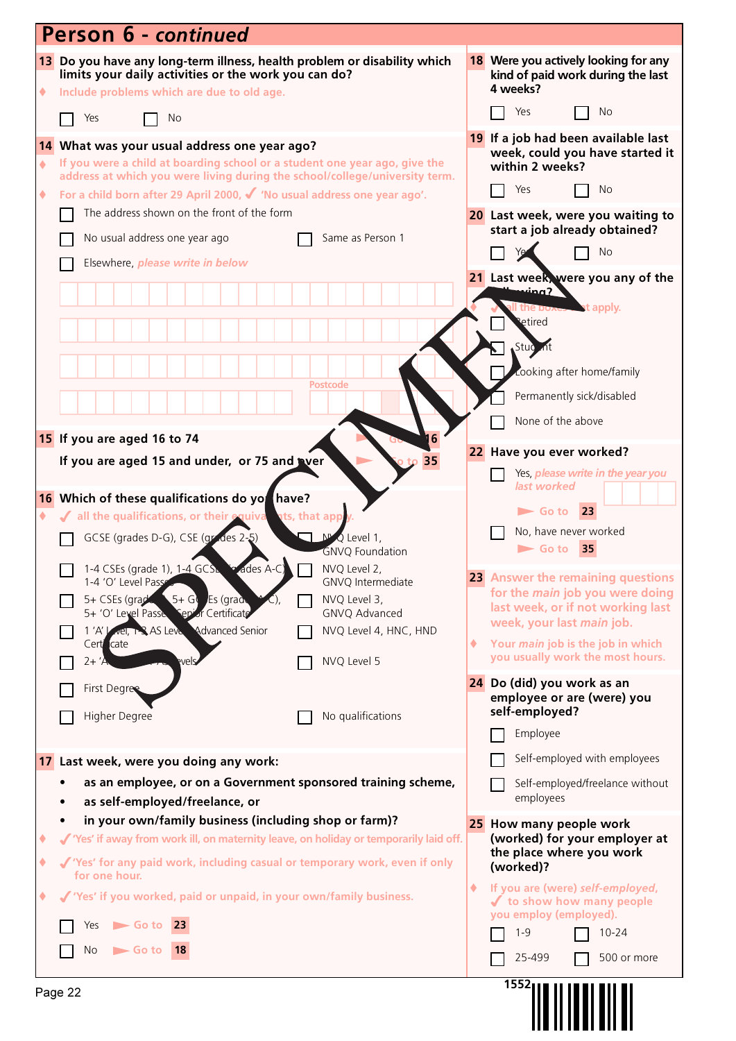|        | Person 6 - continued                                                                                                                                                                                                                            |   |                                                                                                                         |
|--------|-------------------------------------------------------------------------------------------------------------------------------------------------------------------------------------------------------------------------------------------------|---|-------------------------------------------------------------------------------------------------------------------------|
| ٠      | 13 Do you have any long-term illness, health problem or disability which<br>limits your daily activities or the work you can do?<br>Include problems which are due to old age.                                                                  |   | 18 Were you actively looking for any<br>kind of paid work during the last<br>4 weeks?                                   |
|        | Yes<br>No                                                                                                                                                                                                                                       |   | No<br>Yes                                                                                                               |
| ٠      | 14 What was your usual address one year ago?<br>If you were a child at boarding school or a student one year ago, give the<br>address at which you were living during the school/college/university term.                                       |   | 19 If a job had been available last<br>week, could you have started it<br>within 2 weeks?<br>Yes<br>No.                 |
| ۰      | For a child born after 29 April 2000, √ 'No usual address one year ago'.<br>The address shown on the front of the form                                                                                                                          |   | 20 Last week, were you waiting to                                                                                       |
|        | No usual address one year ago<br>Same as Person 1                                                                                                                                                                                               |   | start a job already obtained?<br><b>No</b>                                                                              |
|        | Elsewhere, please write in below                                                                                                                                                                                                                |   | 21 Last week, were you any of the                                                                                       |
|        |                                                                                                                                                                                                                                                 |   | <u>ving?</u><br><b>Let apply.</b><br>the po <sub>7</sub><br>etired<br>Stud <sub>c</sub> nt<br>Looking after home/family |
|        | <b>Postcode</b>                                                                                                                                                                                                                                 |   | Permanently sick/disabled                                                                                               |
|        |                                                                                                                                                                                                                                                 |   | None of the above                                                                                                       |
|        | 15 If you are aged 16 to 74<br>6                                                                                                                                                                                                                |   | 22 Have you ever worked?                                                                                                |
|        | If you are aged 15 and under, or 75 and tyer<br>35                                                                                                                                                                                              |   | Yes, <i>please write in the year you</i>                                                                                |
|        | 16 Which of these qualifications do yo have?<br>If all the qualifications, or their equiva<br>ats, that app<br>GCSE (grades D-G), CSE (grades 2-5)<br>$\Box$ $N^{\mu}$ Q Level 1,                                                               |   | last worked<br>23<br>$\blacktriangleright$ Go to<br>No, have never worked<br>$\blacktriangleright$ Go to<br>35          |
|        | <b>GNVQ Foundation</b><br>1-4 CSEs (grade 1), 1-4 GCS and des A-C NO Level 2,<br>1-4 'O' Level Pass<br>GNVQ Intermediate<br>$5 + G$ Es (grade<br>5+ CSEs (grad<br>NVQ Level 3,                                                                  |   | 23 Answer the remaining questions<br>for the <i>main</i> job you were doing                                             |
|        | 5+ 'O' Level Passe Sepior Certificate<br>GNVQ Advanced                                                                                                                                                                                          |   | last week, or if not working last<br>week, your last main job.                                                          |
|        | 1'A' vel, 1 AS Leve Advanced Senior<br>NVQ Level 4, HNC, HND<br>Cert cate<br>NVQ Level 5<br>$2+ 'A$<br>vels                                                                                                                                     | ۰ | Your main job is the job in which<br>you usually work the most hours.                                                   |
|        | <b>First Degree</b><br>Higher Degree<br>No qualifications                                                                                                                                                                                       |   | 24 Do (did) you work as an<br>employee or are (were) you<br>self-employed?                                              |
|        |                                                                                                                                                                                                                                                 |   | Employee                                                                                                                |
|        | 17 Last week, were you doing any work:                                                                                                                                                                                                          |   | Self-employed with employees                                                                                            |
|        | as an employee, or on a Government sponsored training scheme,<br>as self-employed/freelance, or                                                                                                                                                 |   | Self-employed/freelance without<br>employees                                                                            |
| ٠<br>۰ | in your own/family business (including shop or farm)?<br>√ 'Yes' if away from work ill, on maternity leave, on holiday or temporarily laid off.<br>√ 'Yes' for any paid work, including casual or temporary work, even if only<br>for one hour. |   | 25 How many people work<br>(worked) for your employer at<br>the place where you work<br>(worked)?                       |
| ٠      | √ 'Yes' if you worked, paid or unpaid, in your own/family business.                                                                                                                                                                             | ۰ | If you are (were) self-employed,<br>✔ to show how many people<br>you employ (employed).                                 |
|        | $\blacktriangleright$ Go to 23<br>Yes                                                                                                                                                                                                           |   | $1 - 9$<br>$10 - 24$                                                                                                    |
|        | No<br>$\blacktriangleright$ Go to<br> 18                                                                                                                                                                                                        |   | 25-499<br>500 or more                                                                                                   |
|        | Page 22                                                                                                                                                                                                                                         |   | 1552                                                                                                                    |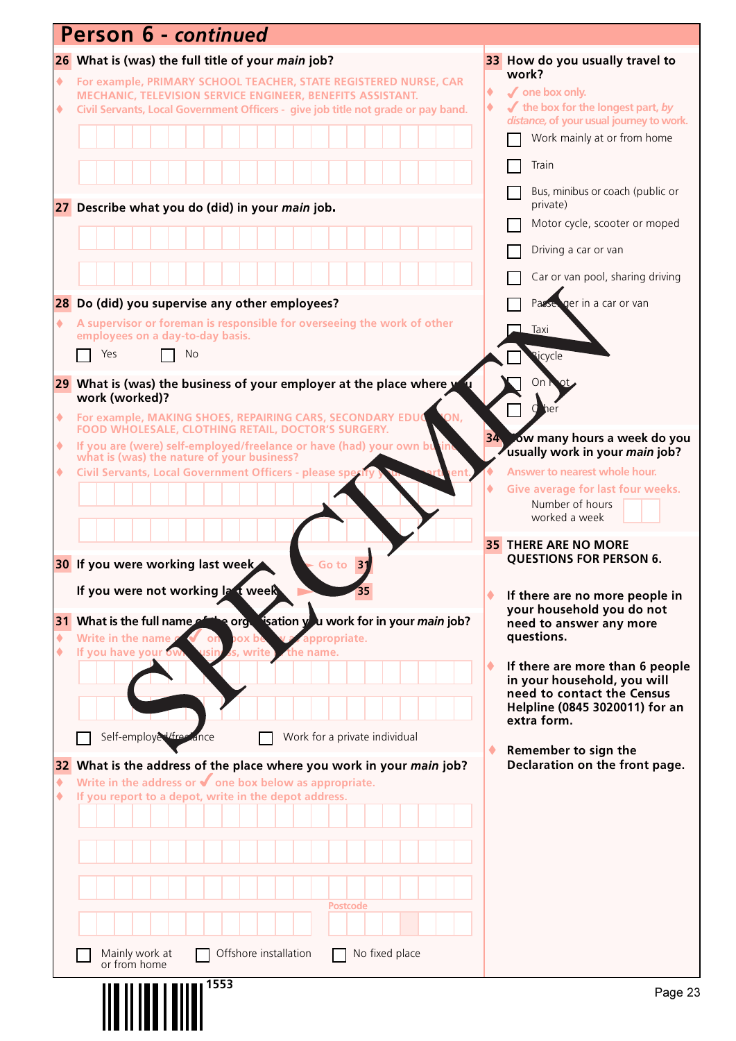| 33 How do you usually travel to<br>26 What is (was) the full title of your main job?<br>work?<br>For example, PRIMARY SCHOOL TEACHER, STATE REGISTERED NURSE, CAR<br>۰<br>$\sqrt{\ }$ one box only.<br>۰<br>MECHANIC, TELEVISION SERVICE ENGINEER, BENEFITS ASSISTANT.<br>$\blacktriangleright$ the box for the longest part, by<br>۰<br>Civil Servants, Local Government Officers - give job title not grade or pay band.<br>۰<br>distance, of your usual journey to work.<br>Work mainly at or from home<br>Train<br>Bus, minibus or coach (public or<br>private)<br>27 Describe what you do (did) in your main job.<br>Motor cycle, scooter or moped<br>Driving a car or van<br>Car or van pool, sharing driving<br>ger in a car or van<br>28 Do (did) you supervise any other employees?<br>Passe<br>A supervisor or foreman is responsible for overseeing the work of other<br>۰<br>Taxi<br>employees on a day-to-day basis.<br>Yes<br>No<br><b>Ricycle</b><br>29 What is (was) the business of your employer at the place where y<br>On<br>work (worked)?<br>d<br>ON,<br>For example, MAKING SHOES, REPAIRING CARS, SECONDARY EDUC<br>۰<br>FOOD WHOLESALE, CLOTHING RETAIL, DOCTOR'S SURGERY.<br>34 ow many hours a week do you<br>If you are (were) self-employed/freelance or have (had) your own bu<br>۰<br>usually work in your main job?<br>what is (was) the nature of your business?<br>Civil Servants, Local Government Officers - please spe<br>Answer to nearest whole hour.<br>۰<br>Give average for last four weeks.<br>Number of hours<br>worked a week<br><b>35 THERE ARE NO MORE</b><br><b>QUESTIONS FOR PERSON 6.</b><br>30 If you were working last week<br>31<br>Go to<br>If you were not working Ia t week<br>If there are no more people in<br>your household you do not<br>31 What is the full name of the orgular isation you work for in your main job?<br>need to answer any more<br>questions.<br>Write in the name<br>۰<br><b><i>v</i></b> appropriate.<br><b>pox</b> be<br>on<br>If you have your ow<br>۰<br>s, write<br>the name.<br>If there are more than 6 people<br>in your household, you will<br>need to contact the Census<br>Helpline (0845 3020011) for an<br>extra form.<br>Self-employed/free ance<br>Work for a private individual<br>Remember to sign the<br>Declaration on the front page.<br>32 What is the address of the place where you work in your main job?<br>Write in the address or $\blacklozenge$ one box below as appropriate.<br>۰<br>If you report to a depot, write in the depot address.<br>۰<br><b>Postcode</b><br>No fixed place<br>Mainly work at<br>Offshore installation<br>or from home<br>1553 | Person 6 - continued |         |
|------------------------------------------------------------------------------------------------------------------------------------------------------------------------------------------------------------------------------------------------------------------------------------------------------------------------------------------------------------------------------------------------------------------------------------------------------------------------------------------------------------------------------------------------------------------------------------------------------------------------------------------------------------------------------------------------------------------------------------------------------------------------------------------------------------------------------------------------------------------------------------------------------------------------------------------------------------------------------------------------------------------------------------------------------------------------------------------------------------------------------------------------------------------------------------------------------------------------------------------------------------------------------------------------------------------------------------------------------------------------------------------------------------------------------------------------------------------------------------------------------------------------------------------------------------------------------------------------------------------------------------------------------------------------------------------------------------------------------------------------------------------------------------------------------------------------------------------------------------------------------------------------------------------------------------------------------------------------------------------------------------------------------------------------------------------------------------------------------------------------------------------------------------------------------------------------------------------------------------------------------------------------------------------------------------------------------------------------------------------------------------------------------------------------------------------------------------------------------------------------------------------------------------------------------------------------------------------------------------------------------------------------------------------------|----------------------|---------|
|                                                                                                                                                                                                                                                                                                                                                                                                                                                                                                                                                                                                                                                                                                                                                                                                                                                                                                                                                                                                                                                                                                                                                                                                                                                                                                                                                                                                                                                                                                                                                                                                                                                                                                                                                                                                                                                                                                                                                                                                                                                                                                                                                                                                                                                                                                                                                                                                                                                                                                                                                                                                                                                                        |                      |         |
|                                                                                                                                                                                                                                                                                                                                                                                                                                                                                                                                                                                                                                                                                                                                                                                                                                                                                                                                                                                                                                                                                                                                                                                                                                                                                                                                                                                                                                                                                                                                                                                                                                                                                                                                                                                                                                                                                                                                                                                                                                                                                                                                                                                                                                                                                                                                                                                                                                                                                                                                                                                                                                                                        |                      |         |
|                                                                                                                                                                                                                                                                                                                                                                                                                                                                                                                                                                                                                                                                                                                                                                                                                                                                                                                                                                                                                                                                                                                                                                                                                                                                                                                                                                                                                                                                                                                                                                                                                                                                                                                                                                                                                                                                                                                                                                                                                                                                                                                                                                                                                                                                                                                                                                                                                                                                                                                                                                                                                                                                        |                      |         |
|                                                                                                                                                                                                                                                                                                                                                                                                                                                                                                                                                                                                                                                                                                                                                                                                                                                                                                                                                                                                                                                                                                                                                                                                                                                                                                                                                                                                                                                                                                                                                                                                                                                                                                                                                                                                                                                                                                                                                                                                                                                                                                                                                                                                                                                                                                                                                                                                                                                                                                                                                                                                                                                                        |                      |         |
|                                                                                                                                                                                                                                                                                                                                                                                                                                                                                                                                                                                                                                                                                                                                                                                                                                                                                                                                                                                                                                                                                                                                                                                                                                                                                                                                                                                                                                                                                                                                                                                                                                                                                                                                                                                                                                                                                                                                                                                                                                                                                                                                                                                                                                                                                                                                                                                                                                                                                                                                                                                                                                                                        |                      |         |
|                                                                                                                                                                                                                                                                                                                                                                                                                                                                                                                                                                                                                                                                                                                                                                                                                                                                                                                                                                                                                                                                                                                                                                                                                                                                                                                                                                                                                                                                                                                                                                                                                                                                                                                                                                                                                                                                                                                                                                                                                                                                                                                                                                                                                                                                                                                                                                                                                                                                                                                                                                                                                                                                        |                      |         |
|                                                                                                                                                                                                                                                                                                                                                                                                                                                                                                                                                                                                                                                                                                                                                                                                                                                                                                                                                                                                                                                                                                                                                                                                                                                                                                                                                                                                                                                                                                                                                                                                                                                                                                                                                                                                                                                                                                                                                                                                                                                                                                                                                                                                                                                                                                                                                                                                                                                                                                                                                                                                                                                                        |                      |         |
|                                                                                                                                                                                                                                                                                                                                                                                                                                                                                                                                                                                                                                                                                                                                                                                                                                                                                                                                                                                                                                                                                                                                                                                                                                                                                                                                                                                                                                                                                                                                                                                                                                                                                                                                                                                                                                                                                                                                                                                                                                                                                                                                                                                                                                                                                                                                                                                                                                                                                                                                                                                                                                                                        |                      |         |
|                                                                                                                                                                                                                                                                                                                                                                                                                                                                                                                                                                                                                                                                                                                                                                                                                                                                                                                                                                                                                                                                                                                                                                                                                                                                                                                                                                                                                                                                                                                                                                                                                                                                                                                                                                                                                                                                                                                                                                                                                                                                                                                                                                                                                                                                                                                                                                                                                                                                                                                                                                                                                                                                        |                      |         |
|                                                                                                                                                                                                                                                                                                                                                                                                                                                                                                                                                                                                                                                                                                                                                                                                                                                                                                                                                                                                                                                                                                                                                                                                                                                                                                                                                                                                                                                                                                                                                                                                                                                                                                                                                                                                                                                                                                                                                                                                                                                                                                                                                                                                                                                                                                                                                                                                                                                                                                                                                                                                                                                                        |                      |         |
|                                                                                                                                                                                                                                                                                                                                                                                                                                                                                                                                                                                                                                                                                                                                                                                                                                                                                                                                                                                                                                                                                                                                                                                                                                                                                                                                                                                                                                                                                                                                                                                                                                                                                                                                                                                                                                                                                                                                                                                                                                                                                                                                                                                                                                                                                                                                                                                                                                                                                                                                                                                                                                                                        |                      |         |
|                                                                                                                                                                                                                                                                                                                                                                                                                                                                                                                                                                                                                                                                                                                                                                                                                                                                                                                                                                                                                                                                                                                                                                                                                                                                                                                                                                                                                                                                                                                                                                                                                                                                                                                                                                                                                                                                                                                                                                                                                                                                                                                                                                                                                                                                                                                                                                                                                                                                                                                                                                                                                                                                        |                      |         |
|                                                                                                                                                                                                                                                                                                                                                                                                                                                                                                                                                                                                                                                                                                                                                                                                                                                                                                                                                                                                                                                                                                                                                                                                                                                                                                                                                                                                                                                                                                                                                                                                                                                                                                                                                                                                                                                                                                                                                                                                                                                                                                                                                                                                                                                                                                                                                                                                                                                                                                                                                                                                                                                                        |                      |         |
|                                                                                                                                                                                                                                                                                                                                                                                                                                                                                                                                                                                                                                                                                                                                                                                                                                                                                                                                                                                                                                                                                                                                                                                                                                                                                                                                                                                                                                                                                                                                                                                                                                                                                                                                                                                                                                                                                                                                                                                                                                                                                                                                                                                                                                                                                                                                                                                                                                                                                                                                                                                                                                                                        |                      |         |
|                                                                                                                                                                                                                                                                                                                                                                                                                                                                                                                                                                                                                                                                                                                                                                                                                                                                                                                                                                                                                                                                                                                                                                                                                                                                                                                                                                                                                                                                                                                                                                                                                                                                                                                                                                                                                                                                                                                                                                                                                                                                                                                                                                                                                                                                                                                                                                                                                                                                                                                                                                                                                                                                        |                      |         |
|                                                                                                                                                                                                                                                                                                                                                                                                                                                                                                                                                                                                                                                                                                                                                                                                                                                                                                                                                                                                                                                                                                                                                                                                                                                                                                                                                                                                                                                                                                                                                                                                                                                                                                                                                                                                                                                                                                                                                                                                                                                                                                                                                                                                                                                                                                                                                                                                                                                                                                                                                                                                                                                                        |                      |         |
|                                                                                                                                                                                                                                                                                                                                                                                                                                                                                                                                                                                                                                                                                                                                                                                                                                                                                                                                                                                                                                                                                                                                                                                                                                                                                                                                                                                                                                                                                                                                                                                                                                                                                                                                                                                                                                                                                                                                                                                                                                                                                                                                                                                                                                                                                                                                                                                                                                                                                                                                                                                                                                                                        |                      |         |
|                                                                                                                                                                                                                                                                                                                                                                                                                                                                                                                                                                                                                                                                                                                                                                                                                                                                                                                                                                                                                                                                                                                                                                                                                                                                                                                                                                                                                                                                                                                                                                                                                                                                                                                                                                                                                                                                                                                                                                                                                                                                                                                                                                                                                                                                                                                                                                                                                                                                                                                                                                                                                                                                        |                      |         |
|                                                                                                                                                                                                                                                                                                                                                                                                                                                                                                                                                                                                                                                                                                                                                                                                                                                                                                                                                                                                                                                                                                                                                                                                                                                                                                                                                                                                                                                                                                                                                                                                                                                                                                                                                                                                                                                                                                                                                                                                                                                                                                                                                                                                                                                                                                                                                                                                                                                                                                                                                                                                                                                                        |                      |         |
|                                                                                                                                                                                                                                                                                                                                                                                                                                                                                                                                                                                                                                                                                                                                                                                                                                                                                                                                                                                                                                                                                                                                                                                                                                                                                                                                                                                                                                                                                                                                                                                                                                                                                                                                                                                                                                                                                                                                                                                                                                                                                                                                                                                                                                                                                                                                                                                                                                                                                                                                                                                                                                                                        |                      |         |
|                                                                                                                                                                                                                                                                                                                                                                                                                                                                                                                                                                                                                                                                                                                                                                                                                                                                                                                                                                                                                                                                                                                                                                                                                                                                                                                                                                                                                                                                                                                                                                                                                                                                                                                                                                                                                                                                                                                                                                                                                                                                                                                                                                                                                                                                                                                                                                                                                                                                                                                                                                                                                                                                        |                      |         |
|                                                                                                                                                                                                                                                                                                                                                                                                                                                                                                                                                                                                                                                                                                                                                                                                                                                                                                                                                                                                                                                                                                                                                                                                                                                                                                                                                                                                                                                                                                                                                                                                                                                                                                                                                                                                                                                                                                                                                                                                                                                                                                                                                                                                                                                                                                                                                                                                                                                                                                                                                                                                                                                                        |                      |         |
|                                                                                                                                                                                                                                                                                                                                                                                                                                                                                                                                                                                                                                                                                                                                                                                                                                                                                                                                                                                                                                                                                                                                                                                                                                                                                                                                                                                                                                                                                                                                                                                                                                                                                                                                                                                                                                                                                                                                                                                                                                                                                                                                                                                                                                                                                                                                                                                                                                                                                                                                                                                                                                                                        |                      |         |
|                                                                                                                                                                                                                                                                                                                                                                                                                                                                                                                                                                                                                                                                                                                                                                                                                                                                                                                                                                                                                                                                                                                                                                                                                                                                                                                                                                                                                                                                                                                                                                                                                                                                                                                                                                                                                                                                                                                                                                                                                                                                                                                                                                                                                                                                                                                                                                                                                                                                                                                                                                                                                                                                        |                      |         |
|                                                                                                                                                                                                                                                                                                                                                                                                                                                                                                                                                                                                                                                                                                                                                                                                                                                                                                                                                                                                                                                                                                                                                                                                                                                                                                                                                                                                                                                                                                                                                                                                                                                                                                                                                                                                                                                                                                                                                                                                                                                                                                                                                                                                                                                                                                                                                                                                                                                                                                                                                                                                                                                                        |                      |         |
|                                                                                                                                                                                                                                                                                                                                                                                                                                                                                                                                                                                                                                                                                                                                                                                                                                                                                                                                                                                                                                                                                                                                                                                                                                                                                                                                                                                                                                                                                                                                                                                                                                                                                                                                                                                                                                                                                                                                                                                                                                                                                                                                                                                                                                                                                                                                                                                                                                                                                                                                                                                                                                                                        |                      |         |
|                                                                                                                                                                                                                                                                                                                                                                                                                                                                                                                                                                                                                                                                                                                                                                                                                                                                                                                                                                                                                                                                                                                                                                                                                                                                                                                                                                                                                                                                                                                                                                                                                                                                                                                                                                                                                                                                                                                                                                                                                                                                                                                                                                                                                                                                                                                                                                                                                                                                                                                                                                                                                                                                        |                      |         |
|                                                                                                                                                                                                                                                                                                                                                                                                                                                                                                                                                                                                                                                                                                                                                                                                                                                                                                                                                                                                                                                                                                                                                                                                                                                                                                                                                                                                                                                                                                                                                                                                                                                                                                                                                                                                                                                                                                                                                                                                                                                                                                                                                                                                                                                                                                                                                                                                                                                                                                                                                                                                                                                                        |                      |         |
|                                                                                                                                                                                                                                                                                                                                                                                                                                                                                                                                                                                                                                                                                                                                                                                                                                                                                                                                                                                                                                                                                                                                                                                                                                                                                                                                                                                                                                                                                                                                                                                                                                                                                                                                                                                                                                                                                                                                                                                                                                                                                                                                                                                                                                                                                                                                                                                                                                                                                                                                                                                                                                                                        |                      |         |
|                                                                                                                                                                                                                                                                                                                                                                                                                                                                                                                                                                                                                                                                                                                                                                                                                                                                                                                                                                                                                                                                                                                                                                                                                                                                                                                                                                                                                                                                                                                                                                                                                                                                                                                                                                                                                                                                                                                                                                                                                                                                                                                                                                                                                                                                                                                                                                                                                                                                                                                                                                                                                                                                        |                      |         |
|                                                                                                                                                                                                                                                                                                                                                                                                                                                                                                                                                                                                                                                                                                                                                                                                                                                                                                                                                                                                                                                                                                                                                                                                                                                                                                                                                                                                                                                                                                                                                                                                                                                                                                                                                                                                                                                                                                                                                                                                                                                                                                                                                                                                                                                                                                                                                                                                                                                                                                                                                                                                                                                                        |                      |         |
|                                                                                                                                                                                                                                                                                                                                                                                                                                                                                                                                                                                                                                                                                                                                                                                                                                                                                                                                                                                                                                                                                                                                                                                                                                                                                                                                                                                                                                                                                                                                                                                                                                                                                                                                                                                                                                                                                                                                                                                                                                                                                                                                                                                                                                                                                                                                                                                                                                                                                                                                                                                                                                                                        |                      |         |
|                                                                                                                                                                                                                                                                                                                                                                                                                                                                                                                                                                                                                                                                                                                                                                                                                                                                                                                                                                                                                                                                                                                                                                                                                                                                                                                                                                                                                                                                                                                                                                                                                                                                                                                                                                                                                                                                                                                                                                                                                                                                                                                                                                                                                                                                                                                                                                                                                                                                                                                                                                                                                                                                        |                      |         |
|                                                                                                                                                                                                                                                                                                                                                                                                                                                                                                                                                                                                                                                                                                                                                                                                                                                                                                                                                                                                                                                                                                                                                                                                                                                                                                                                                                                                                                                                                                                                                                                                                                                                                                                                                                                                                                                                                                                                                                                                                                                                                                                                                                                                                                                                                                                                                                                                                                                                                                                                                                                                                                                                        |                      |         |
|                                                                                                                                                                                                                                                                                                                                                                                                                                                                                                                                                                                                                                                                                                                                                                                                                                                                                                                                                                                                                                                                                                                                                                                                                                                                                                                                                                                                                                                                                                                                                                                                                                                                                                                                                                                                                                                                                                                                                                                                                                                                                                                                                                                                                                                                                                                                                                                                                                                                                                                                                                                                                                                                        |                      |         |
|                                                                                                                                                                                                                                                                                                                                                                                                                                                                                                                                                                                                                                                                                                                                                                                                                                                                                                                                                                                                                                                                                                                                                                                                                                                                                                                                                                                                                                                                                                                                                                                                                                                                                                                                                                                                                                                                                                                                                                                                                                                                                                                                                                                                                                                                                                                                                                                                                                                                                                                                                                                                                                                                        |                      |         |
|                                                                                                                                                                                                                                                                                                                                                                                                                                                                                                                                                                                                                                                                                                                                                                                                                                                                                                                                                                                                                                                                                                                                                                                                                                                                                                                                                                                                                                                                                                                                                                                                                                                                                                                                                                                                                                                                                                                                                                                                                                                                                                                                                                                                                                                                                                                                                                                                                                                                                                                                                                                                                                                                        |                      | Page 23 |
|                                                                                                                                                                                                                                                                                                                                                                                                                                                                                                                                                                                                                                                                                                                                                                                                                                                                                                                                                                                                                                                                                                                                                                                                                                                                                                                                                                                                                                                                                                                                                                                                                                                                                                                                                                                                                                                                                                                                                                                                                                                                                                                                                                                                                                                                                                                                                                                                                                                                                                                                                                                                                                                                        |                      |         |